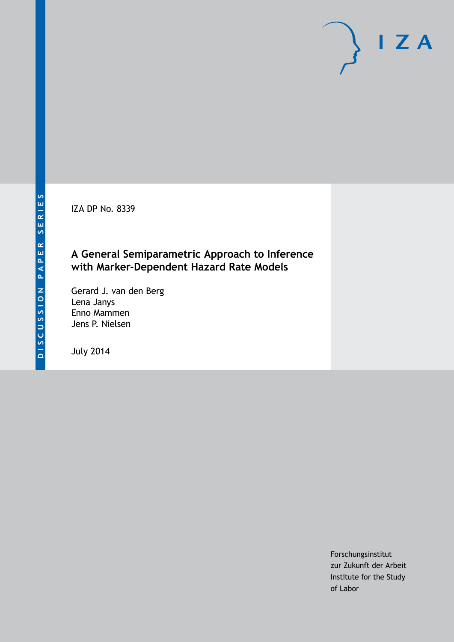IZA DP No. 8339

### **A General Semiparametric Approach to Inference with Marker-Dependent Hazard Rate Models**

Gerard J. van den Berg Lena Janys Enno Mammen Jens P. Nielsen

July 2014

Forschungsinstitut zur Zukunft der Arbeit Institute for the Study of Labor

 $I Z A$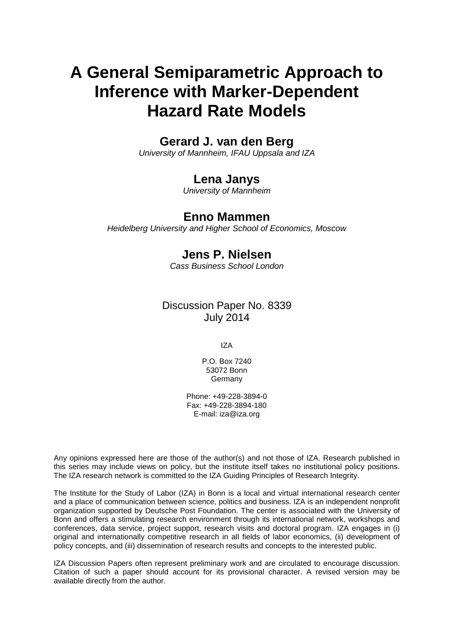# **A General Semiparametric Approach to Inference with Marker-Dependent Hazard Rate Models**

### **Gerard J. van den Berg**

*University of Mannheim, IFAU Uppsala and IZA*

### **Lena Janys**

*University of Mannheim*

### **Enno Mammen**

*Heidelberg University and Higher School of Economics, Moscow*

### **Jens P. Nielsen**

*Cass Business School London*

Discussion Paper No. 8339 July 2014

IZA

P.O. Box 7240 53072 Bonn **Germany** 

Phone: +49-228-3894-0 Fax: +49-228-3894-180 E-mail: [iza@iza.org](mailto:iza@iza.org)

Any opinions expressed here are those of the author(s) and not those of IZA. Research published in this series may include views on policy, but the institute itself takes no institutional policy positions. The IZA research network is committed to the IZA Guiding Principles of Research Integrity.

The Institute for the Study of Labor (IZA) in Bonn is a local and virtual international research center and a place of communication between science, politics and business. IZA is an independent nonprofit organization supported by Deutsche Post Foundation. The center is associated with the University of Bonn and offers a stimulating research environment through its international network, workshops and conferences, data service, project support, research visits and doctoral program. IZA engages in (i) original and internationally competitive research in all fields of labor economics, (ii) development of policy concepts, and (iii) dissemination of research results and concepts to the interested public.

<span id="page-1-0"></span>IZA Discussion Papers often represent preliminary work and are circulated to encourage discussion. Citation of such a paper should account for its provisional character. A revised version may be available directly from the author.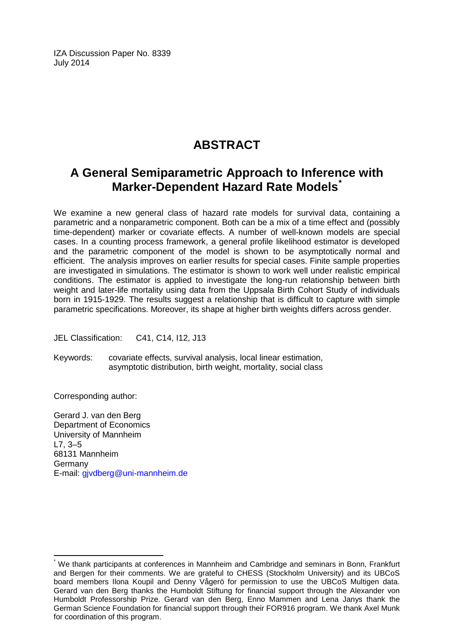IZA Discussion Paper No. 8339 July 2014

## **ABSTRACT**

### **A General Semiparametric Approach to Inference with Marker-Dependent Hazard Rate Models[\\*](#page-1-0)**

We examine a new general class of hazard rate models for survival data, containing a parametric and a nonparametric component. Both can be a mix of a time effect and (possibly time-dependent) marker or covariate effects. A number of well-known models are special cases. In a counting process framework, a general profile likelihood estimator is developed and the parametric component of the model is shown to be asymptotically normal and efficient. The analysis improves on earlier results for special cases. Finite sample properties are investigated in simulations. The estimator is shown to work well under realistic empirical conditions. The estimator is applied to investigate the long-run relationship between birth weight and later-life mortality using data from the Uppsala Birth Cohort Study of individuals born in 1915-1929. The results suggest a relationship that is difficult to capture with simple parametric specifications. Moreover, its shape at higher birth weights differs across gender.

JEL Classification: C41, C14, I12, J13

Keywords: covariate effects, survival analysis, local linear estimation, asymptotic distribution, birth weight, mortality, social class

Corresponding author:

Gerard J. van den Berg Department of Economics University of Mannheim L7, 3–5 68131 Mannheim Germany E-mail: [gjvdberg@uni-mannheim.de](mailto:gjvdberg@uni-mannheim.de)

We thank participants at conferences in Mannheim and Cambridge and seminars in Bonn, Frankfurt and Bergen for their comments. We are grateful to CHESS (Stockholm University) and its UBCoS board members Ilona Koupil and Denny Vågerö for permission to use the UBCoS Multigen data. Gerard van den Berg thanks the Humboldt Stiftung for financial support through the Alexander von Humboldt Professorship Prize. Gerard van den Berg, Enno Mammen and Lena Janys thank the German Science Foundation for financial support through their FOR916 program. We thank Axel Munk for coordination of this program.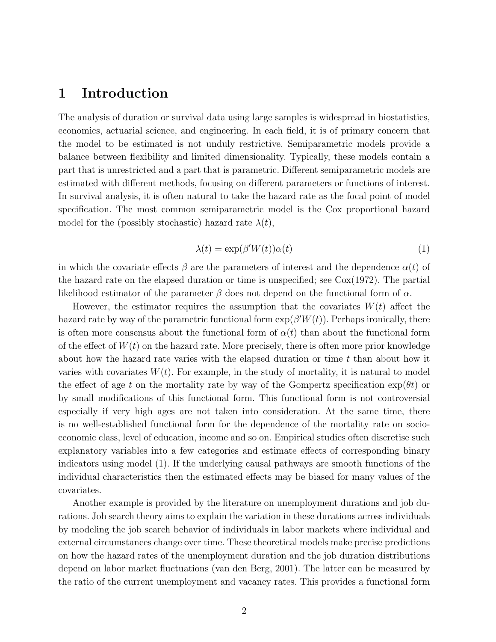### 1 Introduction

The analysis of duration or survival data using large samples is widespread in biostatistics, economics, actuarial science, and engineering. In each field, it is of primary concern that the model to be estimated is not unduly restrictive. Semiparametric models provide a balance between flexibility and limited dimensionality. Typically, these models contain a part that is unrestricted and a part that is parametric. Different semiparametric models are estimated with different methods, focusing on different parameters or functions of interest. In survival analysis, it is often natural to take the hazard rate as the focal point of model specification. The most common semiparametric model is the Cox proportional hazard model for the (possibly stochastic) hazard rate  $\lambda(t)$ ,

$$
\lambda(t) = \exp(\beta' W(t)) \alpha(t) \tag{1}
$$

in which the covariate effects  $\beta$  are the parameters of interest and the dependence  $\alpha(t)$  of the hazard rate on the elapsed duration or time is unspecified; see Cox(1972). The partial likelihood estimator of the parameter  $\beta$  does not depend on the functional form of  $\alpha$ .

However, the estimator requires the assumption that the covariates  $W(t)$  affect the hazard rate by way of the parametric functional form  $\exp(\beta' W(t))$ . Perhaps ironically, there is often more consensus about the functional form of  $\alpha(t)$  than about the functional form of the effect of  $W(t)$  on the hazard rate. More precisely, there is often more prior knowledge about how the hazard rate varies with the elapsed duration or time  $t$  than about how it varies with covariates  $W(t)$ . For example, in the study of mortality, it is natural to model the effect of age t on the mortality rate by way of the Gompertz specification  $\exp(\theta t)$  or by small modifications of this functional form. This functional form is not controversial especially if very high ages are not taken into consideration. At the same time, there is no well-established functional form for the dependence of the mortality rate on socioeconomic class, level of education, income and so on. Empirical studies often discretise such explanatory variables into a few categories and estimate effects of corresponding binary indicators using model (1). If the underlying causal pathways are smooth functions of the individual characteristics then the estimated effects may be biased for many values of the covariates.

Another example is provided by the literature on unemployment durations and job durations. Job search theory aims to explain the variation in these durations across individuals by modeling the job search behavior of individuals in labor markets where individual and external circumstances change over time. These theoretical models make precise predictions on how the hazard rates of the unemployment duration and the job duration distributions depend on labor market fluctuations (van den Berg, 2001). The latter can be measured by the ratio of the current unemployment and vacancy rates. This provides a functional form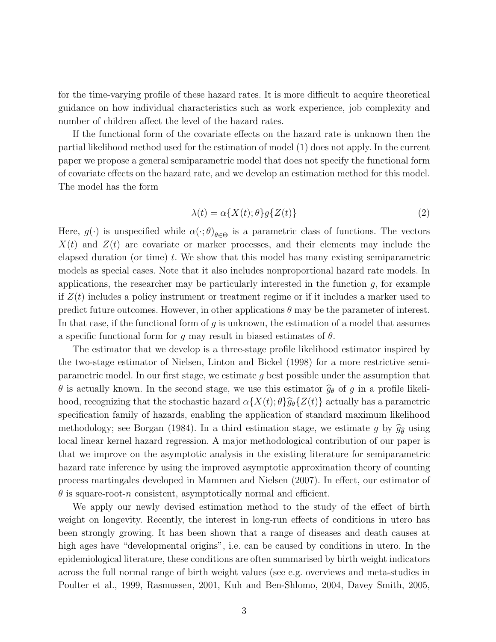for the time-varying profile of these hazard rates. It is more difficult to acquire theoretical guidance on how individual characteristics such as work experience, job complexity and number of children affect the level of the hazard rates.

If the functional form of the covariate effects on the hazard rate is unknown then the partial likelihood method used for the estimation of model (1) does not apply. In the current paper we propose a general semiparametric model that does not specify the functional form of covariate effects on the hazard rate, and we develop an estimation method for this model. The model has the form

$$
\lambda(t) = \alpha \{ X(t); \theta \} g \{ Z(t) \}
$$
\n<sup>(2)</sup>

Here,  $g(\cdot)$  is unspecified while  $\alpha(\cdot;\theta)_{\theta \in \Theta}$  is a parametric class of functions. The vectors  $X(t)$  and  $Z(t)$  are covariate or marker processes, and their elements may include the elapsed duration (or time)  $t$ . We show that this model has many existing semiparametric models as special cases. Note that it also includes nonproportional hazard rate models. In applications, the researcher may be particularly interested in the function  $g$ , for example if  $Z(t)$  includes a policy instrument or treatment regime or if it includes a marker used to predict future outcomes. However, in other applications  $\theta$  may be the parameter of interest. In that case, if the functional form of  $g$  is unknown, the estimation of a model that assumes a specific functional form for g may result in biased estimates of  $\theta$ .

The estimator that we develop is a three-stage profile likelihood estimator inspired by the two-stage estimator of Nielsen, Linton and Bickel (1998) for a more restrictive semiparametric model. In our first stage, we estimate g best possible under the assumption that  $\theta$  is actually known. In the second stage, we use this estimator  $\hat{g}_{\theta}$  of g in a profile likelihood, recognizing that the stochastic hazard  $\alpha\{X(t);\theta\}\hat{g}_{\theta}\{Z(t)\}\)$  actually has a parametric specification family of hazards, enabling the application of standard maximum likelihood methodology; see Borgan (1984). In a third estimation stage, we estimate g by  $\hat{g}_{\hat{\theta}}$  using local linear kernel hazard regression. A major methodological contribution of our paper is that we improve on the asymptotic analysis in the existing literature for semiparametric hazard rate inference by using the improved asymptotic approximation theory of counting process martingales developed in Mammen and Nielsen (2007). In effect, our estimator of  $\theta$  is square-root-n consistent, asymptotically normal and efficient.

We apply our newly devised estimation method to the study of the effect of birth weight on longevity. Recently, the interest in long-run effects of conditions in utero has been strongly growing. It has been shown that a range of diseases and death causes at high ages have "developmental origins", i.e. can be caused by conditions in utero. In the epidemiological literature, these conditions are often summarised by birth weight indicators across the full normal range of birth weight values (see e.g. overviews and meta-studies in Poulter et al., 1999, Rasmussen, 2001, Kuh and Ben-Shlomo, 2004, Davey Smith, 2005,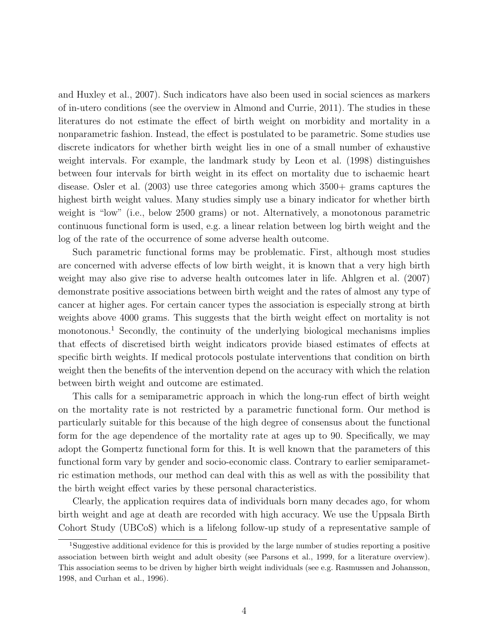and Huxley et al., 2007). Such indicators have also been used in social sciences as markers of in-utero conditions (see the overview in Almond and Currie, 2011). The studies in these literatures do not estimate the effect of birth weight on morbidity and mortality in a nonparametric fashion. Instead, the effect is postulated to be parametric. Some studies use discrete indicators for whether birth weight lies in one of a small number of exhaustive weight intervals. For example, the landmark study by Leon et al. (1998) distinguishes between four intervals for birth weight in its effect on mortality due to ischaemic heart disease. Osler et al. (2003) use three categories among which 3500+ grams captures the highest birth weight values. Many studies simply use a binary indicator for whether birth weight is "low" (i.e., below 2500 grams) or not. Alternatively, a monotonous parametric continuous functional form is used, e.g. a linear relation between log birth weight and the log of the rate of the occurrence of some adverse health outcome.

Such parametric functional forms may be problematic. First, although most studies are concerned with adverse effects of low birth weight, it is known that a very high birth weight may also give rise to adverse health outcomes later in life. Ahlgren et al. (2007) demonstrate positive associations between birth weight and the rates of almost any type of cancer at higher ages. For certain cancer types the association is especially strong at birth weights above 4000 grams. This suggests that the birth weight effect on mortality is not monotonous.<sup>1</sup> Secondly, the continuity of the underlying biological mechanisms implies that effects of discretised birth weight indicators provide biased estimates of effects at specific birth weights. If medical protocols postulate interventions that condition on birth weight then the benefits of the intervention depend on the accuracy with which the relation between birth weight and outcome are estimated.

This calls for a semiparametric approach in which the long-run effect of birth weight on the mortality rate is not restricted by a parametric functional form. Our method is particularly suitable for this because of the high degree of consensus about the functional form for the age dependence of the mortality rate at ages up to 90. Specifically, we may adopt the Gompertz functional form for this. It is well known that the parameters of this functional form vary by gender and socio-economic class. Contrary to earlier semiparametric estimation methods, our method can deal with this as well as with the possibility that the birth weight effect varies by these personal characteristics.

Clearly, the application requires data of individuals born many decades ago, for whom birth weight and age at death are recorded with high accuracy. We use the Uppsala Birth Cohort Study (UBCoS) which is a lifelong follow-up study of a representative sample of

<sup>1</sup>Suggestive additional evidence for this is provided by the large number of studies reporting a positive association between birth weight and adult obesity (see Parsons et al., 1999, for a literature overview). This association seems to be driven by higher birth weight individuals (see e.g. Rasmussen and Johansson, 1998, and Curhan et al., 1996).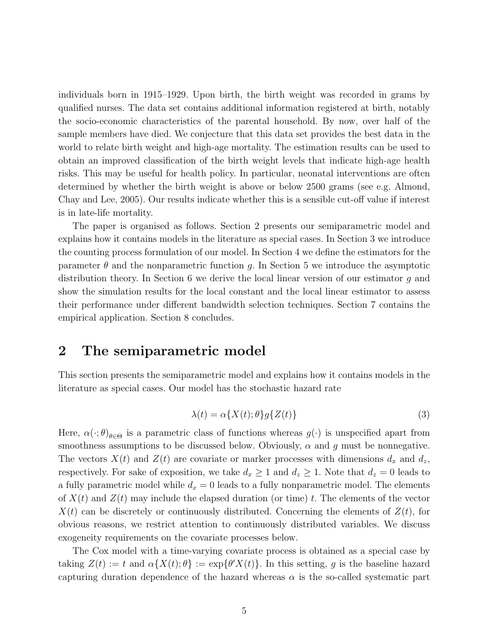individuals born in 1915–1929. Upon birth, the birth weight was recorded in grams by qualified nurses. The data set contains additional information registered at birth, notably the socio-economic characteristics of the parental household. By now, over half of the sample members have died. We conjecture that this data set provides the best data in the world to relate birth weight and high-age mortality. The estimation results can be used to obtain an improved classification of the birth weight levels that indicate high-age health risks. This may be useful for health policy. In particular, neonatal interventions are often determined by whether the birth weight is above or below 2500 grams (see e.g. Almond, Chay and Lee, 2005). Our results indicate whether this is a sensible cut-off value if interest is in late-life mortality.

The paper is organised as follows. Section 2 presents our semiparametric model and explains how it contains models in the literature as special cases. In Section 3 we introduce the counting process formulation of our model. In Section 4 we define the estimators for the parameter  $\theta$  and the nonparametric function g. In Section 5 we introduce the asymptotic distribution theory. In Section 6 we derive the local linear version of our estimator g and show the simulation results for the local constant and the local linear estimator to assess their performance under different bandwidth selection techniques. Section 7 contains the empirical application. Section 8 concludes.

### 2 The semiparametric model

This section presents the semiparametric model and explains how it contains models in the literature as special cases. Our model has the stochastic hazard rate

$$
\lambda(t) = \alpha \{ X(t); \theta \} g \{ Z(t) \}
$$
\n<sup>(3)</sup>

Here,  $\alpha(\cdot;\theta)_{\theta\in\Theta}$  is a parametric class of functions whereas  $g(\cdot)$  is unspecified apart from smoothness assumptions to be discussed below. Obviously,  $\alpha$  and q must be nonnegative. The vectors  $X(t)$  and  $Z(t)$  are covariate or marker processes with dimensions  $d_x$  and  $d_z$ , respectively. For sake of exposition, we take  $d_x \geq 1$  and  $d_z \geq 1$ . Note that  $d_z = 0$  leads to a fully parametric model while  $d_x = 0$  leads to a fully nonparametric model. The elements of  $X(t)$  and  $Z(t)$  may include the elapsed duration (or time) t. The elements of the vector  $X(t)$  can be discretely or continuously distributed. Concerning the elements of  $Z(t)$ , for obvious reasons, we restrict attention to continuously distributed variables. We discuss exogeneity requirements on the covariate processes below.

The Cox model with a time-varying covariate process is obtained as a special case by taking  $Z(t) := t$  and  $\alpha \{ X(t) ; \theta \} := \exp \{ \theta' X(t) \}.$  In this setting, g is the baseline hazard capturing duration dependence of the hazard whereas  $\alpha$  is the so-called systematic part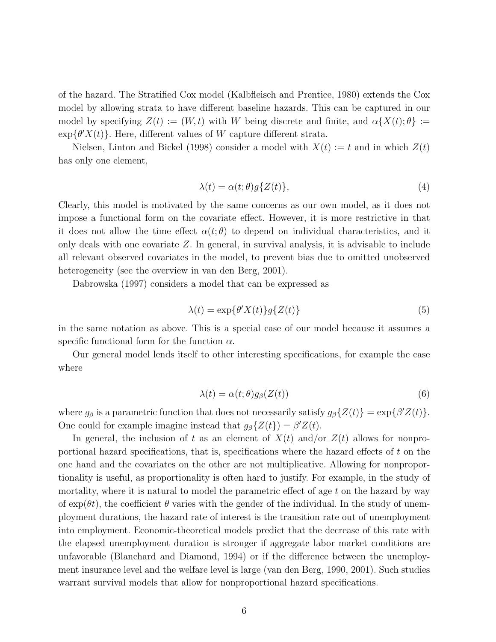of the hazard. The Stratified Cox model (Kalbfleisch and Prentice, 1980) extends the Cox model by allowing strata to have different baseline hazards. This can be captured in our model by specifying  $Z(t) := (W, t)$  with W being discrete and finite, and  $\alpha \{X(t); \theta\} :=$  $\exp{\lbrace \theta' X(t) \rbrace}$ . Here, different values of W capture different strata.

Nielsen, Linton and Bickel (1998) consider a model with  $X(t) := t$  and in which  $Z(t)$ has only one element,

$$
\lambda(t) = \alpha(t; \theta) g\{Z(t)\},\tag{4}
$$

Clearly, this model is motivated by the same concerns as our own model, as it does not impose a functional form on the covariate effect. However, it is more restrictive in that it does not allow the time effect  $\alpha(t;\theta)$  to depend on individual characteristics, and it only deals with one covariate Z. In general, in survival analysis, it is advisable to include all relevant observed covariates in the model, to prevent bias due to omitted unobserved heterogeneity (see the overview in van den Berg, 2001).

Dabrowska (1997) considers a model that can be expressed as

$$
\lambda(t) = \exp\{\theta' X(t)\} g\{Z(t)\}\tag{5}
$$

in the same notation as above. This is a special case of our model because it assumes a specific functional form for the function  $\alpha$ .

Our general model lends itself to other interesting specifications, for example the case where

$$
\lambda(t) = \alpha(t; \theta) g_{\beta}(Z(t)) \tag{6}
$$

where  $g_{\beta}$  is a parametric function that does not necessarily satisfy  $g_{\beta}\{Z(t)\} = \exp{\{\beta' Z(t)\}}$ . One could for example imagine instead that  $g_{\beta}\{Z(t)\} = \beta' Z(t)$ .

In general, the inclusion of t as an element of  $X(t)$  and/or  $Z(t)$  allows for nonproportional hazard specifications, that is, specifications where the hazard effects of t on the one hand and the covariates on the other are not multiplicative. Allowing for nonproportionality is useful, as proportionality is often hard to justify. For example, in the study of mortality, where it is natural to model the parametric effect of age  $t$  on the hazard by way of  $\exp(\theta t)$ , the coefficient  $\theta$  varies with the gender of the individual. In the study of unemployment durations, the hazard rate of interest is the transition rate out of unemployment into employment. Economic-theoretical models predict that the decrease of this rate with the elapsed unemployment duration is stronger if aggregate labor market conditions are unfavorable (Blanchard and Diamond, 1994) or if the difference between the unemployment insurance level and the welfare level is large (van den Berg, 1990, 2001). Such studies warrant survival models that allow for nonproportional hazard specifications.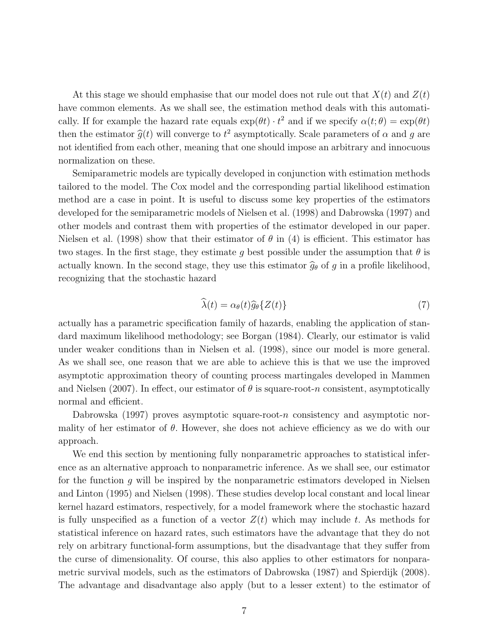At this stage we should emphasise that our model does not rule out that  $X(t)$  and  $Z(t)$ have common elements. As we shall see, the estimation method deals with this automatically. If for example the hazard rate equals  $\exp(\theta t) \cdot t^2$  and if we specify  $\alpha(t;\theta) = \exp(\theta t)$ then the estimator  $\hat{g}(t)$  will converge to  $t^2$  asymptotically. Scale parameters of  $\alpha$  and  $g$  are not identified from each other, meaning that one should impose an arbitrary and innocuous normalization on these.

Semiparametric models are typically developed in conjunction with estimation methods tailored to the model. The Cox model and the corresponding partial likelihood estimation method are a case in point. It is useful to discuss some key properties of the estimators developed for the semiparametric models of Nielsen et al. (1998) and Dabrowska (1997) and other models and contrast them with properties of the estimator developed in our paper. Nielsen et al. (1998) show that their estimator of  $\theta$  in (4) is efficient. This estimator has two stages. In the first stage, they estimate g best possible under the assumption that  $\theta$  is actually known. In the second stage, they use this estimator  $\hat{g}_{\theta}$  of g in a profile likelihood, recognizing that the stochastic hazard

$$
\widehat{\lambda}(t) = \alpha_{\theta}(t)\widehat{g}_{\theta}\{Z(t)\}\tag{7}
$$

actually has a parametric specification family of hazards, enabling the application of standard maximum likelihood methodology; see Borgan (1984). Clearly, our estimator is valid under weaker conditions than in Nielsen et al. (1998), since our model is more general. As we shall see, one reason that we are able to achieve this is that we use the improved asymptotic approximation theory of counting process martingales developed in Mammen and Nielsen (2007). In effect, our estimator of  $\theta$  is square-root-n consistent, asymptotically normal and efficient.

Dabrowska (1997) proves asymptotic square-root-n consistency and asymptotic normality of her estimator of  $\theta$ . However, she does not achieve efficiency as we do with our approach.

We end this section by mentioning fully nonparametric approaches to statistical inference as an alternative approach to nonparametric inference. As we shall see, our estimator for the function  $q$  will be inspired by the nonparametric estimators developed in Nielsen and Linton (1995) and Nielsen (1998). These studies develop local constant and local linear kernel hazard estimators, respectively, for a model framework where the stochastic hazard is fully unspecified as a function of a vector  $Z(t)$  which may include t. As methods for statistical inference on hazard rates, such estimators have the advantage that they do not rely on arbitrary functional-form assumptions, but the disadvantage that they suffer from the curse of dimensionality. Of course, this also applies to other estimators for nonparametric survival models, such as the estimators of Dabrowska (1987) and Spierdijk (2008). The advantage and disadvantage also apply (but to a lesser extent) to the estimator of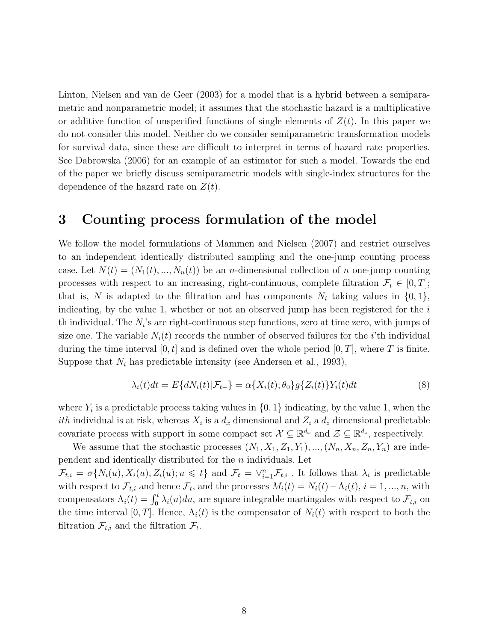Linton, Nielsen and van de Geer (2003) for a model that is a hybrid between a semiparametric and nonparametric model; it assumes that the stochastic hazard is a multiplicative or additive function of unspecified functions of single elements of  $Z(t)$ . In this paper we do not consider this model. Neither do we consider semiparametric transformation models for survival data, since these are difficult to interpret in terms of hazard rate properties. See Dabrowska (2006) for an example of an estimator for such a model. Towards the end of the paper we briefly discuss semiparametric models with single-index structures for the dependence of the hazard rate on  $Z(t)$ .

### 3 Counting process formulation of the model

We follow the model formulations of Mammen and Nielsen (2007) and restrict ourselves to an independent identically distributed sampling and the one-jump counting process case. Let  $N(t) = (N_1(t), ..., N_n(t))$  be an *n*-dimensional collection of *n* one-jump counting processes with respect to an increasing, right-continuous, complete filtration  $\mathcal{F}_t \in [0, T]$ ; that is, N is adapted to the filtration and has components  $N_i$  taking values in  $\{0, 1\}$ , indicating, by the value 1, whether or not an observed jump has been registered for the  $i$ th individual. The  $N_i$ 's are right-continuous step functions, zero at time zero, with jumps of size one. The variable  $N_i(t)$  records the number of observed failures for the *i*'th individual during the time interval  $[0, t]$  and is defined over the whole period  $[0, T]$ , where T is finite. Suppose that  $N_i$  has predictable intensity (see Andersen et al., 1993),

$$
\lambda_i(t)dt = E\{dN_i(t)|\mathcal{F}_{t-}\} = \alpha\{X_i(t); \theta_0\}g\{Z_i(t)\}Y_i(t)dt
$$
\n(8)

where  $Y_i$  is a predictable process taking values in  $\{0, 1\}$  indicating, by the value 1, when the *ith* individual is at risk, whereas  $X_i$  is a  $d_x$  dimensional and  $Z_i$  a  $d_z$  dimensional predictable covariate process with support in some compact set  $\mathcal{X} \subseteq \mathbb{R}^{d_x}$  and  $\mathcal{Z} \subseteq \mathbb{R}^{d_z}$ , respectively.

We assume that the stochastic processes  $(N_1, X_1, Z_1, Y_1), ..., (N_n, X_n, Z_n, Y_n)$  are independent and identically distributed for the n individuals. Let  $\mathcal{F}_{t,i} = \sigma\{N_i(u), X_i(u), Z_i(u); u \leq t\}$  and  $\mathcal{F}_t = \vee_{i=1}^n \mathcal{F}_{t,i}$ . It follows that  $\lambda_i$  is predictable with respect to  $\mathcal{F}_{t,i}$  and hence  $\mathcal{F}_t$ , and the processes  $M_i(t) = N_i(t) - \Lambda_i(t)$ ,  $i = 1, ..., n$ , with compensators  $\Lambda_i(t) = \int_0^t \lambda_i(u) du$ , are square integrable martingales with respect to  $\mathcal{F}_{t,i}$  on the time interval [0, T]. Hence,  $\Lambda_i(t)$  is the compensator of  $N_i(t)$  with respect to both the filtration  $\mathcal{F}_{t,i}$  and the filtration  $\mathcal{F}_t$ .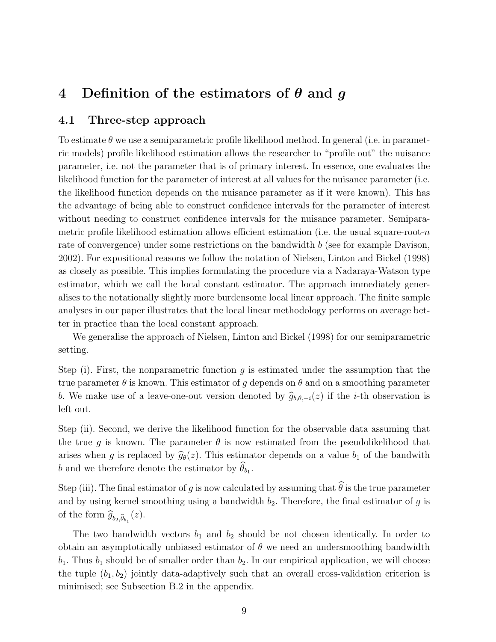### 4 Definition of the estimators of  $\theta$  and  $q$

#### 4.1 Three-step approach

To estimate  $\theta$  we use a semiparametric profile likelihood method. In general (i.e. in parametric models) profile likelihood estimation allows the researcher to "profile out" the nuisance parameter, i.e. not the parameter that is of primary interest. In essence, one evaluates the likelihood function for the parameter of interest at all values for the nuisance parameter (i.e. the likelihood function depends on the nuisance parameter as if it were known). This has the advantage of being able to construct confidence intervals for the parameter of interest without needing to construct confidence intervals for the nuisance parameter. Semiparametric profile likelihood estimation allows efficient estimation (i.e. the usual square-root- $n$ rate of convergence) under some restrictions on the bandwidth b (see for example Davison, 2002). For expositional reasons we follow the notation of Nielsen, Linton and Bickel (1998) as closely as possible. This implies formulating the procedure via a Nadaraya-Watson type estimator, which we call the local constant estimator. The approach immediately generalises to the notationally slightly more burdensome local linear approach. The finite sample analyses in our paper illustrates that the local linear methodology performs on average better in practice than the local constant approach.

We generalise the approach of Nielsen, Linton and Bickel (1998) for our semiparametric setting.

Step (i). First, the nonparametric function  $q$  is estimated under the assumption that the true parameter  $\theta$  is known. This estimator of g depends on  $\theta$  and on a smoothing parameter b. We make use of a leave-one-out version denoted by  $\hat{g}_{b,\theta,-i}(z)$  if the *i*-th observation is left out.

Step (ii). Second, we derive the likelihood function for the observable data assuming that the true g is known. The parameter  $\theta$  is now estimated from the pseudolikelihood that arises when g is replaced by  $\hat{g}_{\theta}(z)$ . This estimator depends on a value  $b_1$  of the bandwith b and we therefore denote the estimator by  $\theta_{b_1}$ .

Step (iii). The final estimator of g is now calculated by assuming that  $\widehat{\theta}$  is the true parameter and by using kernel smoothing using a bandwidth  $b_2$ . Therefore, the final estimator of g is of the form  $\widehat{g}_{b_2,\widehat{\theta}_{b_1}}(z)$ .

The two bandwidth vectors  $b_1$  and  $b_2$  should be not chosen identically. In order to obtain an asymptotically unbiased estimator of  $\theta$  we need an undersmoothing bandwidth  $b_1$ . Thus  $b_1$  should be of smaller order than  $b_2$ . In our empirical application, we will choose the tuple  $(b_1, b_2)$  jointly data-adaptively such that an overall cross-validation criterion is minimised; see Subsection B.2 in the appendix.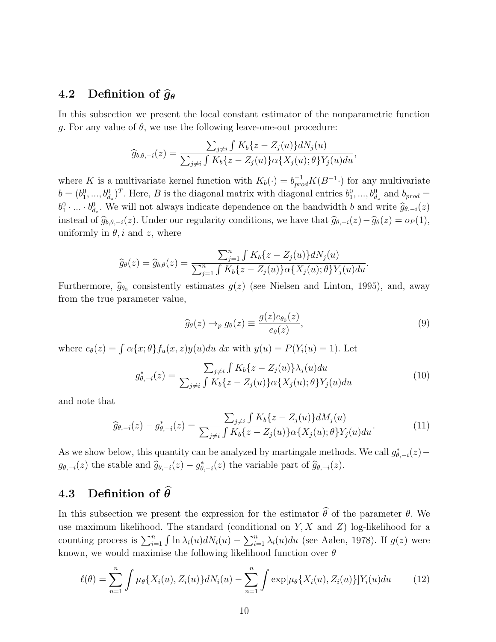### 4.2 Definition of  $\hat{g}_{\theta}$

In this subsection we present the local constant estimator of the nonparametric function g. For any value of  $\theta$ , we use the following leave-one-out procedure:

$$
\widehat{g}_{b,\theta,-i}(z) = \frac{\sum_{j\neq i} \int K_b\{z - Z_j(u)\} dN_j(u)}{\sum_{j\neq i} \int K_b\{z - Z_j(u)\} \alpha\{X_j(u); \theta\} Y_j(u) du},
$$

where K is a multivariate kernel function with  $K_b(\cdot) = b_{prod}^{-1} K(B^{-1} \cdot)$  for any multivariate  $b = (b_1^0, ..., b_{d_z}^0)^T$ . Here, B is the diagonal matrix with diagonal entries  $b_1^0, ..., b_{d_z}^0$  and  $b_{prod} =$  $b_1^0 \cdot ... \cdot b_{d_z}^0$ . We will not always indicate dependence on the bandwidth b and write  $\widehat{g}_{\theta,-i}(z)$ instead of  $\hat{g}_{b,\theta,-i}(z)$ . Under our regularity conditions, we have that  $\hat{g}_{\theta,-i}(z)-\hat{g}_{\theta}(z) = o_P(1)$ , uniformly in  $\theta$ , i and z, where

$$
\widehat{g}_{\theta}(z) = \widehat{g}_{b,\theta}(z) = \frac{\sum_{j=1}^{n} \int K_b\{z - Z_j(u)\} dN_j(u)}{\sum_{j=1}^{n} \int K_b\{z - Z_j(u)\} \alpha\{X_j(u); \theta\} Y_j(u) du}.
$$

Furthermore,  $\hat{g}_{\theta_0}$  consistently estimates  $g(z)$  (see Nielsen and Linton, 1995), and, away from the true parameter value,

$$
\widehat{g}_{\theta}(z) \to_p g_{\theta}(z) \equiv \frac{g(z)e_{\theta_0}(z)}{e_{\theta}(z)},\tag{9}
$$

where  $e_{\theta}(z) = \int \alpha \{x; \theta\} f_u(x, z) y(u) du dx$  with  $y(u) = P(Y_i(u) = 1)$ . Let

$$
g_{\theta,-i}^{*}(z) = \frac{\sum_{j\neq i} \int K_b\{z - Z_j(u)\} \lambda_j(u) du}{\sum_{j\neq i} \int K_b\{z - Z_j(u)\} \alpha\{X_j(u); \theta\} Y_j(u) du}
$$
(10)

and note that

$$
\widehat{g}_{\theta,-i}(z) - g_{\theta,-i}^*(z) = \frac{\sum_{j \neq i} \int K_b \{z - Z_j(u)\} dM_j(u)}{\sum_{j \neq i} \int K_b \{z - Z_j(u)\} \alpha \{X_j(u); \theta\} Y_j(u) du}.
$$
\n(11)

As we show below, this quantity can be analyzed by martingale methods. We call  $g_{\theta,-i}^*(z)$  –  $g_{\theta,-i}(z)$  the stable and  $\widehat{g}_{\theta,-i}(z) - g_{\theta,-i}^*(z)$  the variable part of  $\widehat{g}_{\theta,-i}(z)$ .

### 4.3 Definition of  $\hat{\theta}$

In this subsection we present the expression for the estimator  $\widehat{\theta}$  of the parameter  $\theta$ . We use maximum likelihood. The standard (conditional on  $Y, X$  and  $Z$ ) log-likelihood for a counting process is  $\sum_{i=1}^{n} \int \ln \lambda_i(u) dN_i(u) - \sum_{i=1}^{n} \lambda_i(u) du$  (see Aalen, 1978). If  $g(z)$  were known, we would maximise the following likelihood function over  $\theta$ 

$$
\ell(\theta) = \sum_{n=1}^{n} \int \mu_{\theta} \{ X_i(u), Z_i(u) \} dN_i(u) - \sum_{n=1}^{n} \int \exp[\mu_{\theta} \{ X_i(u), Z_i(u) \}] Y_i(u) du \qquad (12)
$$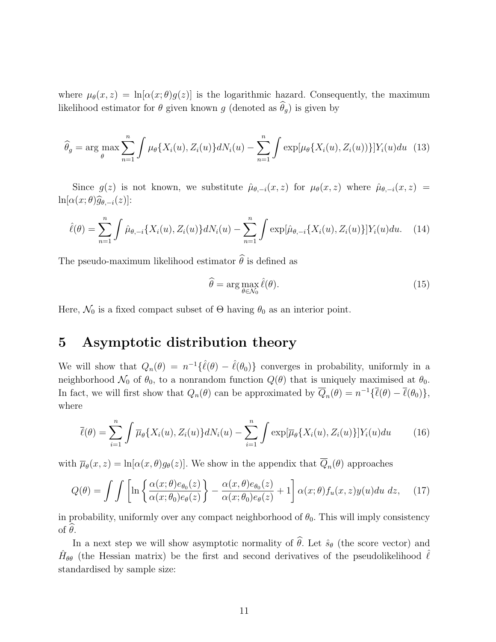where  $\mu_{\theta}(x, z) = \ln[\alpha(x; \theta)g(z)]$  is the logarithmic hazard. Consequently, the maximum likelihood estimator for  $\theta$  given known g (denoted as  $\widehat{\theta}_g$ ) is given by

$$
\widehat{\theta}_g = \arg \max_{\theta} \sum_{n=1}^n \int \mu_{\theta} \{ X_i(u), Z_i(u) \} dN_i(u) - \sum_{n=1}^n \int \exp[\mu_{\theta} \{ X_i(u), Z_i(u) \} ] Y_i(u) du \tag{13}
$$

Since  $g(z)$  is not known, we substitute  $\hat{\mu}_{\theta,-i}(x,z)$  for  $\mu_{\theta}(x,z)$  where  $\hat{\mu}_{\theta,-i}(x,z)$  $\ln[\alpha(x;\theta)\widehat{g}_{\theta,-i}(z)]$ :

$$
\hat{\ell}(\theta) = \sum_{n=1}^{n} \int \hat{\mu}_{\theta,-i} \{ X_i(u), Z_i(u) \} dN_i(u) - \sum_{n=1}^{n} \int \exp[\hat{\mu}_{\theta,-i} \{ X_i(u), Z_i(u) \}] Y_i(u) du. \tag{14}
$$

The pseudo-maximum likelihood estimator  $\widehat{\theta}$  is defined as

$$
\widehat{\theta} = \arg \max_{\theta \in \mathcal{N}_0} \widehat{\ell}(\theta). \tag{15}
$$

Here,  $\mathcal{N}_0$  is a fixed compact subset of  $\Theta$  having  $\theta_0$  as an interior point.

### 5 Asymptotic distribution theory

We will show that  $Q_n(\theta) = n^{-1} \{\hat{\ell}(\theta) - \hat{\ell}(\theta_0)\}\$ converges in probability, uniformly in a neighborhood  $\mathcal{N}_0$  of  $\theta_0$ , to a nonrandom function  $Q(\theta)$  that is uniquely maximised at  $\theta_0$ . In fact, we will first show that  $Q_n(\theta)$  can be approximated by  $\overline{Q}_n(\theta) = n^{-1} \{ \overline{\ell}(\theta) - \overline{\ell}(\theta_0) \},\$ where

$$
\overline{\ell}(\theta) = \sum_{i=1}^{n} \int \overline{\mu}_{\theta} \{ X_i(u), Z_i(u) \} dN_i(u) - \sum_{i=1}^{n} \int \exp[\overline{\mu}_{\theta} \{ X_i(u), Z_i(u) \}] Y_i(u) du \qquad (16)
$$

with  $\overline{\mu}_{\theta}(x, z) = \ln[\alpha(x, \theta) g_{\theta}(z)]$ . We show in the appendix that  $Q_n(\theta)$  approaches

$$
Q(\theta) = \int \int \left[ \ln \left\{ \frac{\alpha(x;\theta)e_{\theta_0}(z)}{\alpha(x;\theta_0)e_{\theta}(z)} \right\} - \frac{\alpha(x,\theta)e_{\theta_0}(z)}{\alpha(x;\theta_0)e_{\theta}(z)} + 1 \right] \alpha(x;\theta) f_u(x,z) y(u) du dz, \quad (17)
$$

in probability, uniformly over any compact neighborhood of  $\theta_0$ . This will imply consistency of  $\theta$ .

In a next step we will show asymptotic normality of  $\widehat{\theta}$ . Let  $\widehat{s}_{\theta}$  (the score vector) and  $\hat{H}_{\theta\theta}$  (the Hessian matrix) be the first and second derivatives of the pseudolikelihood  $\hat{\ell}$ standardised by sample size: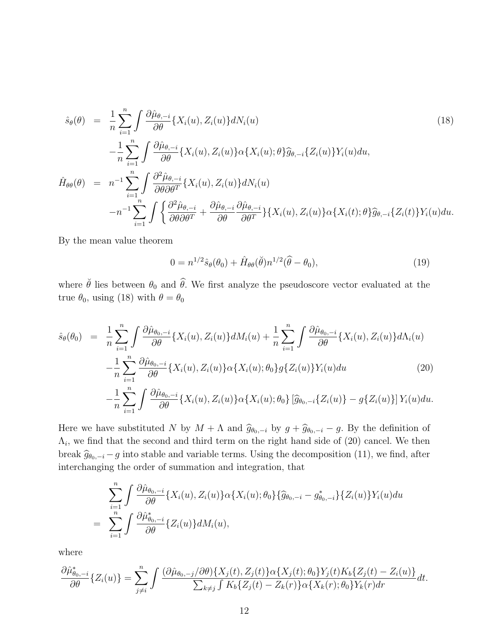$$
\hat{s}_{\theta}(\theta) = \frac{1}{n} \sum_{i=1}^{n} \int \frac{\partial \hat{\mu}_{\theta,-i}}{\partial \theta} \{X_{i}(u), Z_{i}(u)\} dN_{i}(u) \tag{18}
$$
\n
$$
-\frac{1}{n} \sum_{i=1}^{n} \int \frac{\partial \hat{\mu}_{\theta,-i}}{\partial \theta} \{X_{i}(u), Z_{i}(u)\} \alpha \{X_{i}(u); \theta\} \hat{g}_{\theta,-i} \{Z_{i}(u)\} Y_{i}(u) du,
$$
\n
$$
\hat{H}_{\theta\theta}(\theta) = n^{-1} \sum_{i=1}^{n} \int \frac{\partial^{2} \hat{\mu}_{\theta,-i}}{\partial \theta \partial \theta^{T}} \{X_{i}(u), Z_{i}(u)\} dN_{i}(u) \tag{18}
$$
\n
$$
-n^{-1} \sum_{i=1}^{n} \int \left\{ \frac{\partial^{2} \hat{\mu}_{\theta,-i}}{\partial \theta \partial \theta^{T}} + \frac{\partial \hat{\mu}_{\theta,-i}}{\partial \theta} \frac{\partial \hat{\mu}_{\theta,-i}}{\partial \theta^{T}} \{X_{i}(u), Z_{i}(u)\} \alpha \{X_{i}(t); \theta\} \hat{g}_{\theta,-i} \{Z_{i}(t)\} Y_{i}(u) du.
$$

By the mean value theorem

$$
0 = n^{1/2}\hat{s}_{\theta}(\theta_0) + \hat{H}_{\theta\theta}(\check{\theta})n^{1/2}(\hat{\theta} - \theta_0), \qquad (19)
$$

where  $\check{\theta}$  lies between  $\theta_0$  and  $\hat{\theta}$ . We first analyze the pseudoscore vector evaluated at the true  $\theta_0$ , using (18) with  $\theta = \theta_0$ 

$$
\hat{s}_{\theta}(\theta_{0}) = \frac{1}{n} \sum_{i=1}^{n} \int \frac{\partial \hat{\mu}_{\theta_{0},-i}}{\partial \theta} \{X_{i}(u), Z_{i}(u)\} dM_{i}(u) + \frac{1}{n} \sum_{i=1}^{n} \int \frac{\partial \hat{\mu}_{\theta_{0},-i}}{\partial \theta} \{X_{i}(u), Z_{i}(u)\} d\Lambda_{i}(u) \n- \frac{1}{n} \sum_{i=1}^{n} \frac{\partial \hat{\mu}_{\theta_{0},-i}}{\partial \theta} \{X_{i}(u), Z_{i}(u)\} \alpha \{X_{i}(u); \theta_{0}\} g \{Z_{i}(u)\} Y_{i}(u) du \qquad (20) \n- \frac{1}{n} \sum_{i=1}^{n} \int \frac{\partial \hat{\mu}_{\theta_{0},-i}}{\partial \theta} \{X_{i}(u), Z_{i}(u)\} \alpha \{X_{i}(u); \theta_{0}\} \left[\hat{g}_{\theta_{0},-i} \{Z_{i}(u)\} - g \{Z_{i}(u)\}\right] Y_{i}(u) du.
$$

Here we have substituted N by  $M + \Lambda$  and  $\hat{g}_{\theta_0,-i}$  by  $g + \hat{g}_{\theta_0,-i} - g$ . By the definition of  $\Lambda_i$ , we find that the second and third term on the right hand side of (20) cancel. We then break  $\hat{g}_{\theta_0,-i}$  – g into stable and variable terms. Using the decomposition (11), we find, after interchanging the order of summation and integration, that

$$
\sum_{i=1}^{n} \int \frac{\partial \hat{\mu}_{\theta_{0},-i}}{\partial \theta} \{X_{i}(u), Z_{i}(u)\} \alpha \{X_{i}(u); \theta_{0}\} \{\hat{g}_{\theta_{0},-i} - g_{\theta_{0},-i}^{*}\} \{Z_{i}(u)\} Y_{i}(u) du
$$
\n
$$
= \sum_{i=1}^{n} \int \frac{\partial \hat{\mu}_{\theta_{0},-i}^{*}}{\partial \theta} \{Z_{i}(u)\} dM_{i}(u),
$$

where

$$
\frac{\partial \hat{\mu}_{\theta_0,-i}^*}{\partial \theta} \{Z_i(u)\} = \sum_{j\neq i}^n \int \frac{(\partial \hat{\mu}_{\theta_0,-j}/\partial \theta) \{X_j(t), Z_j(t)\} \alpha \{X_j(t); \theta_0\} Y_j(t) K_b \{Z_j(t) - Z_i(u)\}}{\sum_{k\neq j} \int K_b \{Z_j(t) - Z_k(r)\} \alpha \{X_k(r); \theta_0\} Y_k(r) dr} dt.
$$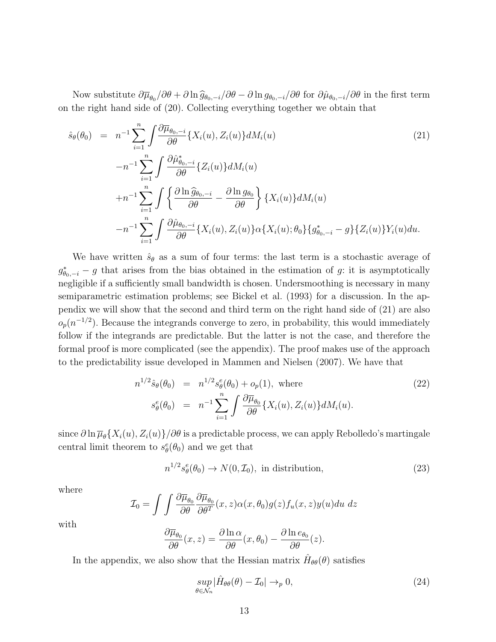Now substitute  $\frac{\partial \overline{\mu}_{\theta_0}}{\partial \theta} + \frac{\partial \ln \widehat{g}_{\theta_0,-i}}{\partial \theta} - \frac{\partial \ln g_{\theta_0,-i}}{\partial \theta}$  for  $\frac{\partial \hat{\mu}_{\theta_0,-i}}{\partial \theta}$  in the first term on the right hand side of (20). Collecting everything together we obtain that

$$
\hat{s}_{\theta}(\theta_{0}) = n^{-1} \sum_{i=1}^{n} \int \frac{\partial \overline{\mu}_{\theta_{0},-i}}{\partial \theta} \{X_{i}(u), Z_{i}(u)\} dM_{i}(u)
$$
\n
$$
-n^{-1} \sum_{i=1}^{n} \int \frac{\partial \hat{\mu}_{\theta_{0},-i}^{*}}{\partial \theta} \{Z_{i}(u)\} dM_{i}(u)
$$
\n
$$
+n^{-1} \sum_{i=1}^{n} \int \left\{ \frac{\partial \ln \widehat{g}_{\theta_{0},-i}}{\partial \theta} - \frac{\partial \ln g_{\theta_{0}}}{\partial \theta} \right\} \{X_{i}(u)\} dM_{i}(u)
$$
\n
$$
-n^{-1} \sum_{i=1}^{n} \int \frac{\partial \hat{\mu}_{\theta_{0},-i}}{\partial \theta} \{X_{i}(u), Z_{i}(u)\} \alpha \{X_{i}(u); \theta_{0}\} \{g_{\theta_{0},-i}^{*} - g\} \{Z_{i}(u)\} Y_{i}(u) du.
$$
\n(21)

We have written  $\hat{s}_{\theta}$  as a sum of four terms: the last term is a stochastic average of  $g_{\theta_{0},-i}^{*} - g$  that arises from the bias obtained in the estimation of g: it is asymptotically negligible if a sufficiently small bandwidth is chosen. Undersmoothing is necessary in many semiparametric estimation problems; see Bickel et al. (1993) for a discussion. In the appendix we will show that the second and third term on the right hand side of (21) are also  $o_p(n^{-1/2})$ . Because the integrands converge to zero, in probability, this would immediately follow if the integrands are predictable. But the latter is not the case, and therefore the formal proof is more complicated (see the appendix). The proof makes use of the approach to the predictability issue developed in Mammen and Nielsen (2007). We have that

$$
n^{1/2}\hat{s}_{\theta}(\theta_0) = n^{1/2}s_{\theta}^e(\theta_0) + o_p(1), \text{ where}
$$
  
\n
$$
s_{\theta}^e(\theta_0) = n^{-1}\sum_{i=1}^n \int \frac{\partial \overline{\mu}_{\theta_0}}{\partial \theta} \{X_i(u), Z_i(u)\} dM_i(u).
$$
\n(22)

since  $\partial \ln \overline{\mu}_{\theta} \{X_i(u), Z_i(u)\} / \partial \theta$  is a predictable process, we can apply Rebolledo's martingale central limit theorem to  $s^e_{\theta}(\theta_0)$  and we get that

$$
n^{1/2}s_{\theta}^{e}(\theta_{0}) \to N(0, \mathcal{I}_{0}), \text{ in distribution}, \qquad (23)
$$

where

$$
\mathcal{I}_0 = \int \int \frac{\partial \overline{\mu}_{\theta_0}}{\partial \theta} \frac{\partial \overline{\mu}_{\theta_0}}{\partial \theta^T}(x, z) \alpha(x, \theta_0) g(z) f_u(x, z) y(u) du dz
$$

with

$$
\frac{\partial \overline{\mu}_{\theta_0}}{\partial \theta}(x, z) = \frac{\partial \ln \alpha}{\partial \theta}(x, \theta_0) - \frac{\partial \ln e_{\theta_0}}{\partial \theta}(z).
$$

In the appendix, we also show that the Hessian matrix  $\hat{H}_{\theta\theta}(\theta)$  satisfies

$$
\sup_{\theta \in \mathcal{N}_n} |\hat{H}_{\theta\theta}(\theta) - \mathcal{I}_0| \to_p 0,
$$
\n(24)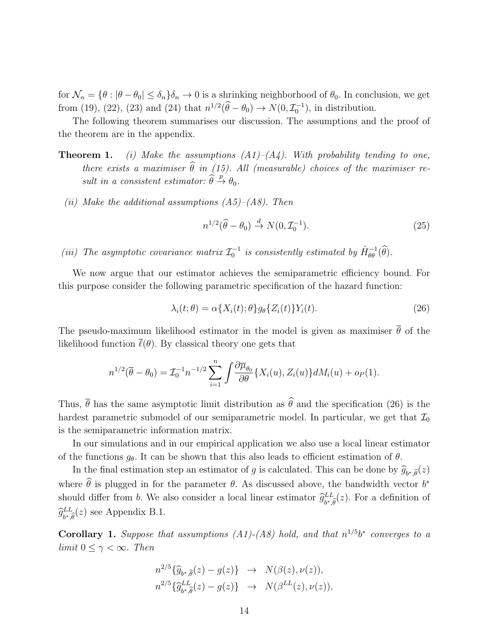for  $\mathcal{N}_n = \{\theta : |\theta - \theta_0| \leq \delta_n\}$ ,  $\phi_n \to 0$  is a shrinking neighborhood of  $\theta_0$ . In conclusion, we get from (19), (22), (23) and (24) that  $n^{1/2}(\hat{\theta} - \theta_0) \to N(0, \mathcal{I}_0^{-1})$ , in distribution.

The following theorem summarises our discussion. The assumptions and the proof of the theorem are in the appendix.

- **Theorem 1.** (i) Make the assumptions  $(A1)$ – $(A4)$ . With probability tending to one, there exists a maximiser  $\hat{\theta}$  in (15). All (measurable) choices of the maximiser result in a consistent estimator:  $\widehat{\theta} \stackrel{p}{\rightarrow} \theta_0$ .
	- (ii) Make the additional assumptions  $(A5)$ – $(A8)$ . Then

$$
n^{1/2}(\hat{\theta} - \theta_0) \stackrel{d}{\rightarrow} N(0, \mathcal{I}_0^{-1}).
$$
\n(25)

(iii) The asymptotic covariance matrix  $\mathcal{I}_0^{-1}$  is consistently estimated by  $\hat{H}_{\theta\theta}^{-1}(\hat{\theta})$ .

We now argue that our estimator achieves the semiparametric efficiency bound. For this purpose consider the following parametric specification of the hazard function:

$$
\lambda_i(t; \theta) = \alpha \{ X_i(t); \theta \} g_\theta \{ Z_i(t) \} Y_i(t). \tag{26}
$$

The pseudo-maximum likelihood estimator in the model is given as maximiser  $\bar{\theta}$  of the likelihood function  $\bar{\ell}(\theta)$ . By classical theory one gets that

$$
n^{1/2}(\overline{\theta}-\theta_0)=\mathcal{I}_0^{-1}n^{-1/2}\sum_{i=1}^n\int\!\frac{\partial \overline{\mu}_{\theta_0}}{\partial \theta}\{X_i(u),Z_i(u)\}dM_i(u)+o_P(1).
$$

Thus,  $\bar{\theta}$  has the same asymptotic limit distribution as  $\hat{\theta}$  and the specification (26) is the hardest parametric submodel of our semiparametric model. In particular, we get that  $\mathcal{I}_0$ is the semiparametric information matrix.

In our simulations and in our empirical application we also use a local linear estimator of the functions  $g_{\theta}$ . It can be shown that this also leads to efficient estimation of  $\theta$ .

In the final estimation step an estimator of g is calculated. This can be done by  $\hat{g}_{b^*,\hat{\theta}}(z)$ where  $\hat{\theta}$  is plugged in for the parameter  $\theta$ . As discussed above, the bandwidth vector  $b^*$ should differ from *b*. We also consider a local linear estimator  $\hat{g}^{LL}_{b^*,\hat{d}}$  $\partial_{b^*,\widehat{\theta}}^{LL}(z)$ . For a definition of  $\widehat{g}^{LL}_{b^*, \vec{b}}$  ${}_{b^*,\widehat{\theta}}^{iLL}(z)$  see Appendix B.1.

**Corollary 1.** Suppose that assumptions (A1)-(A8) hold, and that  $n^{1/5}b^*$  converges to a limit  $0 \leq \gamma < \infty$ . Then

$$
n^{2/5}\{\widehat{g}_{b^*,\widehat{\theta}}(z) - g(z)\} \rightarrow N(\beta(z),\nu(z)),
$$
  

$$
n^{2/5}\{\widehat{g}_{b^*,\widehat{\theta}}^{LL}(z) - g(z)\} \rightarrow N(\beta^{LL}(z),\nu(z)),
$$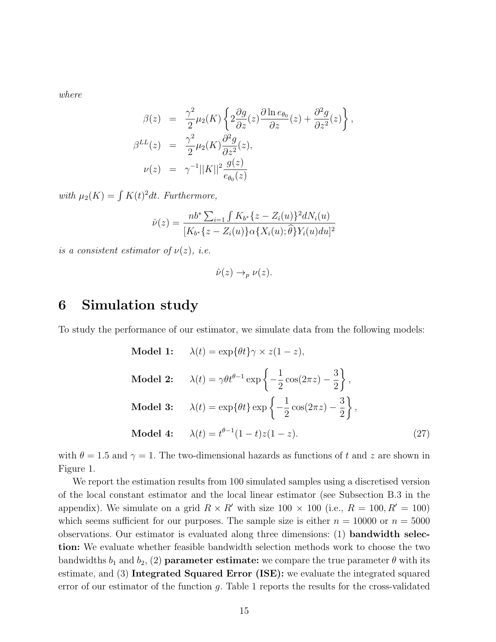where

$$
\beta(z) = \frac{\gamma^2}{2} \mu_2(K) \left\{ 2 \frac{\partial g}{\partial z}(z) \frac{\partial \ln e_{\theta_0}}{\partial z}(z) + \frac{\partial^2 g}{\partial z^2}(z) \right\},
$$
  
\n
$$
\beta^{LL}(z) = \frac{\gamma^2}{2} \mu_2(K) \frac{\partial^2 g}{\partial z^2}(z),
$$
  
\n
$$
\nu(z) = \gamma^{-1} ||K||^2 \frac{g(z)}{e_{\theta_0}(z)}
$$

with  $\mu_2(K) = \int K(t)^2 dt$ . Furthermore,

$$
\hat{\nu}(z) = \frac{nb^* \sum_{i=1} \int K_{b^*} \{z - Z_i(u)\}^2 dN_i(u)}{[K_{b^*} \{z - Z_i(u)\} \alpha \{X_i(u); \hat{\theta}\} Y_i(u) du]^2}
$$

is a consistent estimator of  $\nu(z)$ , i.e.

$$
\hat{\nu}(z) \to_p \nu(z).
$$

### 6 Simulation study

To study the performance of our estimator, we simulate data from the following models:

Model 1: 
$$
\lambda(t) = \exp{\theta t} \gamma \times z(1 - z),
$$
  
\nModel 2:  $\lambda(t) = \gamma \theta t^{\theta - 1} \exp\left\{-\frac{1}{2}\cos(2\pi z) - \frac{3}{2}\right\},$   
\nModel 3:  $\lambda(t) = \exp{\theta t} \exp\left\{-\frac{1}{2}\cos(2\pi z) - \frac{3}{2}\right\},$   
\nModel 4:  $\lambda(t) = t^{\theta - 1}(1 - t)z(1 - z).$  (27)

with  $\theta = 1.5$  and  $\gamma = 1$ . The two-dimensional hazards as functions of t and z are shown in Figure 1.

We report the estimation results from 100 simulated samples using a discretised version of the local constant estimator and the local linear estimator (see Subsection B.3 in the appendix). We simulate on a grid  $R \times R'$  with size 100  $\times$  100 (i.e.,  $R = 100, R' = 100$ ) which seems sufficient for our purposes. The sample size is either  $n = 10000$  or  $n = 5000$ observations. Our estimator is evaluated along three dimensions: (1) bandwidth selection: We evaluate whether feasible bandwidth selection methods work to choose the two bandwidths  $b_1$  and  $b_2$ , (2) **parameter estimate:** we compare the true parameter  $\theta$  with its estimate, and (3) Integrated Squared Error (ISE): we evaluate the integrated squared error of our estimator of the function  $g$ . Table 1 reports the results for the cross-validated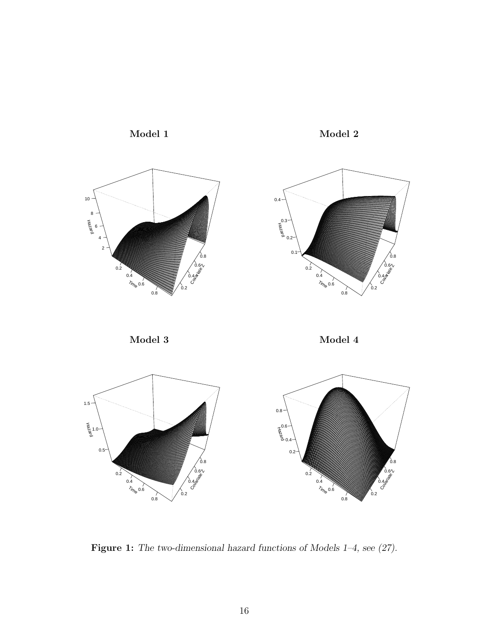

Figure 1: The two-dimensional hazard functions of Models 1–4, see (27).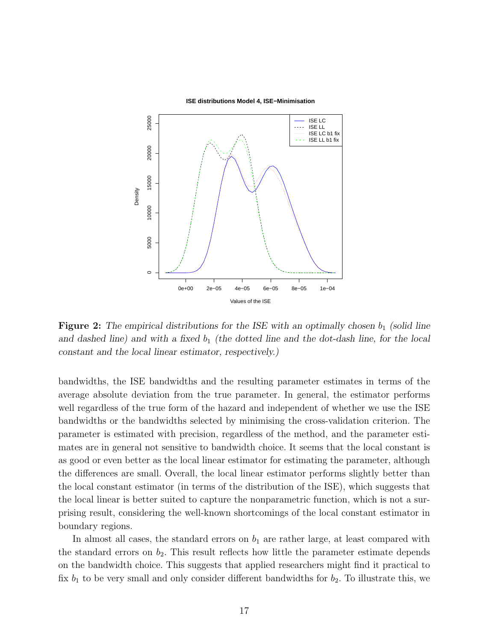

**Figure 2:** The empirical distributions for the ISE with an optimally chosen  $b_1$  (solid line and dashed line) and with a fixed  $b_1$  (the dotted line and the dot-dash line, for the local constant and the local linear estimator, respectively.)

bandwidths, the ISE bandwidths and the resulting parameter estimates in terms of the average absolute deviation from the true parameter. In general, the estimator performs well regardless of the true form of the hazard and independent of whether we use the ISE bandwidths or the bandwidths selected by minimising the cross-validation criterion. The parameter is estimated with precision, regardless of the method, and the parameter estimates are in general not sensitive to bandwidth choice. It seems that the local constant is as good or even better as the local linear estimator for estimating the parameter, although the differences are small. Overall, the local linear estimator performs slightly better than the local constant estimator (in terms of the distribution of the ISE), which suggests that the local linear is better suited to capture the nonparametric function, which is not a surprising result, considering the well-known shortcomings of the local constant estimator in boundary regions.

In almost all cases, the standard errors on  $b_1$  are rather large, at least compared with the standard errors on  $b_2$ . This result reflects how little the parameter estimate depends on the bandwidth choice. This suggests that applied researchers might find it practical to fix  $b_1$  to be very small and only consider different bandwidths for  $b_2$ . To illustrate this, we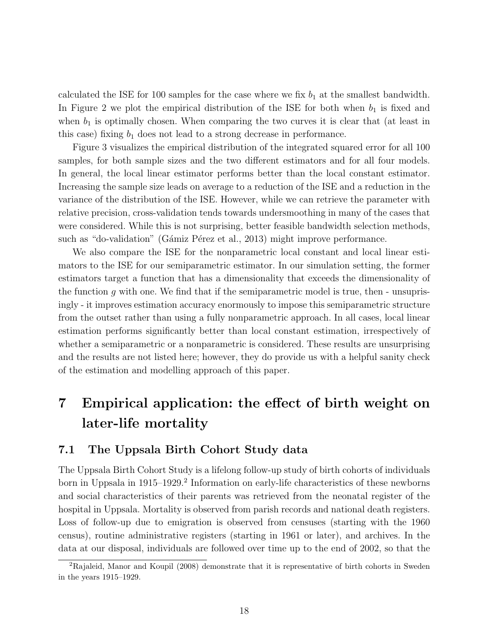calculated the ISE for 100 samples for the case where we fix  $b_1$  at the smallest bandwidth. In Figure 2 we plot the empirical distribution of the ISE for both when  $b_1$  is fixed and when  $b_1$  is optimally chosen. When comparing the two curves it is clear that (at least in this case) fixing  $b_1$  does not lead to a strong decrease in performance.

Figure 3 visualizes the empirical distribution of the integrated squared error for all 100 samples, for both sample sizes and the two different estimators and for all four models. In general, the local linear estimator performs better than the local constant estimator. Increasing the sample size leads on average to a reduction of the ISE and a reduction in the variance of the distribution of the ISE. However, while we can retrieve the parameter with relative precision, cross-validation tends towards undersmoothing in many of the cases that were considered. While this is not surprising, better feasible bandwidth selection methods, such as "do-validation" (Gámiz Pérez et al., 2013) might improve performance.

We also compare the ISE for the nonparametric local constant and local linear estimators to the ISE for our semiparametric estimator. In our simulation setting, the former estimators target a function that has a dimensionality that exceeds the dimensionality of the function g with one. We find that if the semiparametric model is true, then - unsuprisingly - it improves estimation accuracy enormously to impose this semiparametric structure from the outset rather than using a fully nonparametric approach. In all cases, local linear estimation performs significantly better than local constant estimation, irrespectively of whether a semiparametric or a nonparametric is considered. These results are unsurprising and the results are not listed here; however, they do provide us with a helpful sanity check of the estimation and modelling approach of this paper.

# 7 Empirical application: the effect of birth weight on later-life mortality

#### 7.1 The Uppsala Birth Cohort Study data

The Uppsala Birth Cohort Study is a lifelong follow-up study of birth cohorts of individuals born in Uppsala in 1915–1929.<sup>2</sup> Information on early-life characteristics of these newborns and social characteristics of their parents was retrieved from the neonatal register of the hospital in Uppsala. Mortality is observed from parish records and national death registers. Loss of follow-up due to emigration is observed from censuses (starting with the 1960 census), routine administrative registers (starting in 1961 or later), and archives. In the data at our disposal, individuals are followed over time up to the end of 2002, so that the

<sup>2</sup>Rajaleid, Manor and Koupil (2008) demonstrate that it is representative of birth cohorts in Sweden in the years 1915–1929.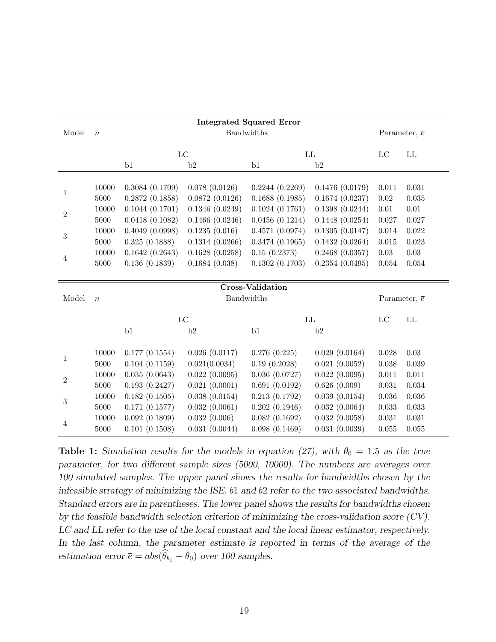| <b>Integrated Squared Error</b> |                  |                   |                   |                |                     |                      |                      |  |
|---------------------------------|------------------|-------------------|-------------------|----------------|---------------------|----------------------|----------------------|--|
| Model                           | $\boldsymbol{n}$ | Bandwidths        |                   |                |                     |                      | Parameter, $\bar{e}$ |  |
|                                 |                  |                   |                   |                |                     |                      |                      |  |
|                                 |                  |                   | $_{\rm LC}$<br>LL |                | LC                  | LL                   |                      |  |
|                                 |                  | b1                | b2                | b1             | b2                  |                      |                      |  |
| 1                               |                  |                   |                   |                |                     |                      |                      |  |
|                                 | 10000            | 0.3084(0.1709)    | 0.078(0.0126)     | 0.2244(0.2269) | 0.1476(0.0179)      | 0.011                | 0.031                |  |
|                                 | 5000             | 0.2872(0.1858)    | 0.0872(0.0126)    | 0.1688(0.1985) | 0.1674(0.0237)      | $0.02\,$             | 0.035                |  |
| $\overline{2}$                  | 10000            | 0.1044(0.1701)    | 0.1346(0.0249)    | 0.1024(0.1761) | 0.1398(0.0244)      | $0.01\,$             | $0.01\,$             |  |
|                                 | 5000             | 0.0418(0.1082)    | 0.1466(0.0246)    | 0.0456(0.1214) | 0.1448(0.0254)      | 0.027                | 0.027                |  |
| 3                               | 10000            | 0.4049(0.0998)    | 0.1235(0.016)     | 0.4571(0.0974) | 0.1305(0.0147)      | 0.014                | 0.022                |  |
|                                 | 5000             | 0.325(0.1888)     | 0.1314(0.0266)    | 0.3474(0.1965) | 0.1432(0.0264)      | 0.015                | 0.023                |  |
| 4                               | 10000            | 0.1642(0.2643)    | 0.1628(0.0258)    | 0.15(0.2373)   | $0.2468$ $(0.0357)$ | 0.03                 | $0.03\,$             |  |
|                                 | 5000             | 0.136(0.1839)     | 0.1684(0.038)     | 0.1302(0.1703) | 0.2354(0.0495)      | 0.054                | 0.054                |  |
|                                 |                  |                   |                   |                |                     |                      |                      |  |
|                                 |                  |                   |                   |                |                     |                      |                      |  |
| Model                           | $\overline{n}$   | Bandwidths        |                   |                |                     | Parameter, $\bar{e}$ |                      |  |
|                                 |                  |                   |                   |                |                     |                      |                      |  |
|                                 |                  | $_{\rm LC}$<br>LL |                   | LC             | LL                  |                      |                      |  |
|                                 |                  | b1                | b2                | b1             | b2                  |                      |                      |  |
|                                 |                  |                   |                   |                |                     |                      |                      |  |
| 1                               | 10000            | 0.177(0.1554)     | 0.026(0.0117)     | 0.276(0.225)   | 0.029(0.0164)       | 0.028                | 0.03                 |  |
|                                 | 5000             | 0.104(0.1159)     | 0.021(0.0034)     | 0.19(0.2028)   | 0.021(0.0052)       | 0.038                | 0.039                |  |
| $\overline{2}$                  | 10000            | 0.035(0.0643)     | 0.022(0.0095)     | 0.036(0.0727)  | 0.022(0.0095)       | 0.011                | 0.011                |  |
|                                 | 5000             | 0.193(0.2427)     | 0.021(0.0001)     | 0.691(0.0192)  | 0.626(0.009)        | 0.031                | 0.034                |  |
|                                 | 10000            | 0.182(0.1505)     | 0.038(0.0154)     | 0.213(0.1792)  | 0.039(0.0154)       | 0.036                | 0.036                |  |
| 3                               | 5000             | 0.171(0.1577)     | 0.032(0.0061)     | 0.202(0.1946)  | 0.032(0.0064)       | $\,0.033\,$          | 0.033                |  |
| 4                               | 10000            | 0.092(0.1809)     | 0.032(0.006)      | 0.082(0.1692)  | 0.032(0.0058)       | 0.031                | 0.031                |  |
|                                 | 5000             | 0.101(0.1508)     | 0.031(0.0044)     | 0.098(0.1469)  | 0.031(0.0039)       | 0.055                | 0.055                |  |

Table 1: Simulation results for the models in equation (27), with  $\theta_0 = 1.5$  as the true parameter, for two different sample sizes (5000, 10000). The numbers are averages over 100 simulated samples. The upper panel shows the results for bandwidths chosen by the infeasible strategy of minimizing the ISE. b1 and b2 refer to the two associated bandwidths. Standard errors are in parentheses. The lower panel shows the results for bandwidths chosen by the feasible bandwidth selection criterion of minimizing the cross-validation score (CV). LC and LL refer to the use of the local constant and the local linear estimator, respectively. In the last column, the parameter estimate is reported in terms of the average of the estimation error  $\bar{e} = abs(\hat{\theta}_{b_1} - \theta_0)$  over 100 samples.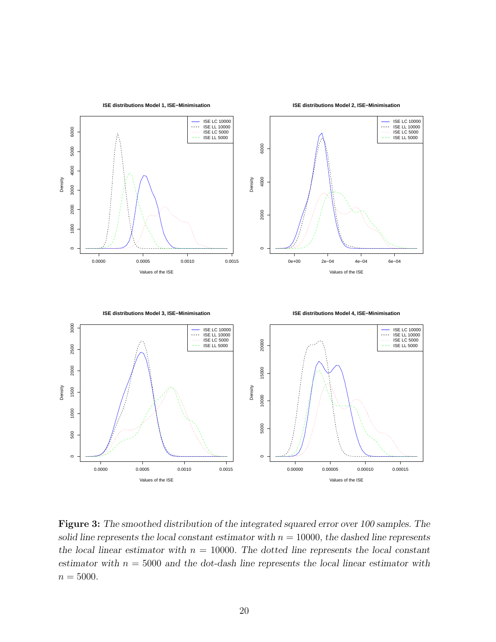

Figure 3: The smoothed distribution of the integrated squared error over 100 samples. The solid line represents the local constant estimator with  $n = 10000$ , the dashed line represents the local linear estimator with  $n = 10000$ . The dotted line represents the local constant estimator with  $n = 5000$  and the dot-dash line represents the local linear estimator with  $n = 5000$ .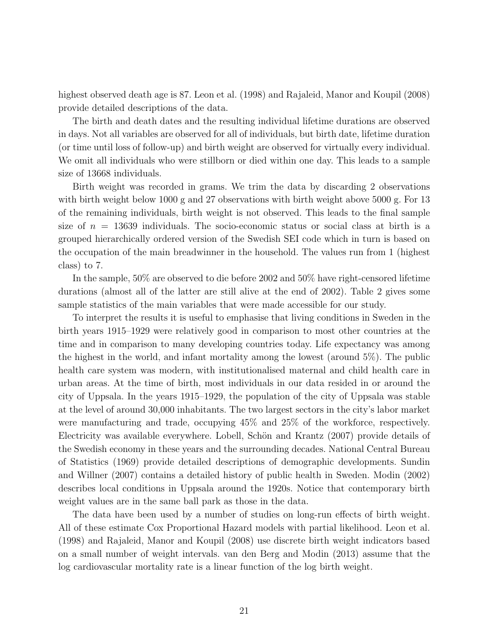highest observed death age is 87. Leon et al. (1998) and Rajaleid, Manor and Koupil (2008) provide detailed descriptions of the data.

The birth and death dates and the resulting individual lifetime durations are observed in days. Not all variables are observed for all of individuals, but birth date, lifetime duration (or time until loss of follow-up) and birth weight are observed for virtually every individual. We omit all individuals who were stillborn or died within one day. This leads to a sample size of 13668 individuals.

Birth weight was recorded in grams. We trim the data by discarding 2 observations with birth weight below 1000 g and 27 observations with birth weight above 5000 g. For 13 of the remaining individuals, birth weight is not observed. This leads to the final sample size of  $n = 13639$  individuals. The socio-economic status or social class at birth is a grouped hierarchically ordered version of the Swedish SEI code which in turn is based on the occupation of the main breadwinner in the household. The values run from 1 (highest class) to 7.

In the sample, 50% are observed to die before 2002 and 50% have right-censored lifetime durations (almost all of the latter are still alive at the end of 2002). Table 2 gives some sample statistics of the main variables that were made accessible for our study.

To interpret the results it is useful to emphasise that living conditions in Sweden in the birth years 1915–1929 were relatively good in comparison to most other countries at the time and in comparison to many developing countries today. Life expectancy was among the highest in the world, and infant mortality among the lowest (around 5%). The public health care system was modern, with institutionalised maternal and child health care in urban areas. At the time of birth, most individuals in our data resided in or around the city of Uppsala. In the years 1915–1929, the population of the city of Uppsala was stable at the level of around 30,000 inhabitants. The two largest sectors in the city's labor market were manufacturing and trade, occupying 45% and 25% of the workforce, respectively. Electricity was available everywhere. Lobell, Schön and Krantz (2007) provide details of the Swedish economy in these years and the surrounding decades. National Central Bureau of Statistics (1969) provide detailed descriptions of demographic developments. Sundin and Willner (2007) contains a detailed history of public health in Sweden. Modin (2002) describes local conditions in Uppsala around the 1920s. Notice that contemporary birth weight values are in the same ball park as those in the data.

The data have been used by a number of studies on long-run effects of birth weight. All of these estimate Cox Proportional Hazard models with partial likelihood. Leon et al. (1998) and Rajaleid, Manor and Koupil (2008) use discrete birth weight indicators based on a small number of weight intervals. van den Berg and Modin (2013) assume that the log cardiovascular mortality rate is a linear function of the log birth weight.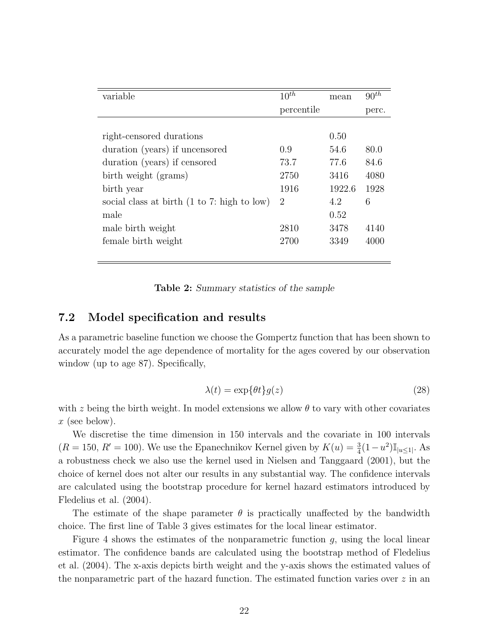| variable                                                 | $10^{th}$      | mean   | $90^{th}$ |
|----------------------------------------------------------|----------------|--------|-----------|
|                                                          | percentile     |        | perc.     |
|                                                          |                |        |           |
| right-censored durations                                 |                | 0.50   |           |
| duration (years) if uncensored                           | 0.9            | 54.6   | 80.0      |
| duration (years) if censored                             | 73.7           | 77.6   | 84.6      |
| birth weight (grams)                                     | 2750           | 3416   | 4080      |
| birth year                                               | 1916           | 1922.6 | 1928      |
| social class at birth $(1 \text{ to } 7)$ : high to low) | $\overline{2}$ | 4.2    | 6         |
| male                                                     |                | 0.52   |           |
| male birth weight                                        | 2810           | 3478   | 4140      |
| female birth weight                                      | 2700           | 3349   | 4000      |
|                                                          |                |        |           |

Table 2: Summary statistics of the sample

#### 7.2 Model specification and results

As a parametric baseline function we choose the Gompertz function that has been shown to accurately model the age dependence of mortality for the ages covered by our observation window (up to age 87). Specifically,

$$
\lambda(t) = \exp\{\theta t\} g(z) \tag{28}
$$

with z being the birth weight. In model extensions we allow  $\theta$  to vary with other covariates  $x$  (see below).

We discretise the time dimension in 150 intervals and the covariate in 100 intervals  $(R = 150, R' = 100)$ . We use the Epanechnikov Kernel given by  $K(u) = \frac{3}{4}(1 - u^2) \mathbb{I}_{|u \leq 1|}$ . As a robustness check we also use the kernel used in Nielsen and Tanggaard (2001), but the choice of kernel does not alter our results in any substantial way. The confidence intervals are calculated using the bootstrap procedure for kernel hazard estimators introduced by Fledelius et al. (2004).

The estimate of the shape parameter  $\theta$  is practically unaffected by the bandwidth choice. The first line of Table 3 gives estimates for the local linear estimator.

Figure 4 shows the estimates of the nonparametric function  $q$ , using the local linear estimator. The confidence bands are calculated using the bootstrap method of Fledelius et al. (2004). The x-axis depicts birth weight and the y-axis shows the estimated values of the nonparametric part of the hazard function. The estimated function varies over  $z$  in an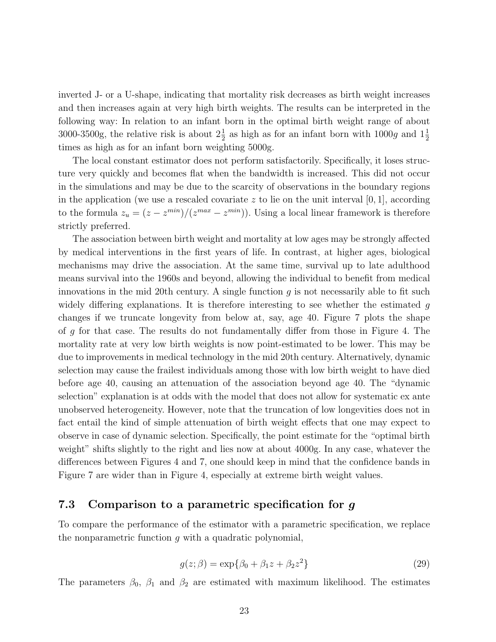inverted J- or a U-shape, indicating that mortality risk decreases as birth weight increases and then increases again at very high birth weights. The results can be interpreted in the following way: In relation to an infant born in the optimal birth weight range of about 3000-3500g, the relative risk is about  $2\frac{1}{2}$  as high as for an infant born with 1000g and  $1\frac{1}{2}$ times as high as for an infant born weighting 5000g.

The local constant estimator does not perform satisfactorily. Specifically, it loses structure very quickly and becomes flat when the bandwidth is increased. This did not occur in the simulations and may be due to the scarcity of observations in the boundary regions in the application (we use a rescaled covariate  $z$  to lie on the unit interval  $[0, 1]$ , according to the formula  $z_u = (z - z^{min})/(z^{max} - z^{min})$ . Using a local linear framework is therefore strictly preferred.

The association between birth weight and mortality at low ages may be strongly affected by medical interventions in the first years of life. In contrast, at higher ages, biological mechanisms may drive the association. At the same time, survival up to late adulthood means survival into the 1960s and beyond, allowing the individual to benefit from medical innovations in the mid 20th century. A single function  $g$  is not necessarily able to fit such widely differing explanations. It is therefore interesting to see whether the estimated g changes if we truncate longevity from below at, say, age 40. Figure 7 plots the shape of g for that case. The results do not fundamentally differ from those in Figure 4. The mortality rate at very low birth weights is now point-estimated to be lower. This may be due to improvements in medical technology in the mid 20th century. Alternatively, dynamic selection may cause the frailest individuals among those with low birth weight to have died before age 40, causing an attenuation of the association beyond age 40. The "dynamic selection" explanation is at odds with the model that does not allow for systematic ex ante unobserved heterogeneity. However, note that the truncation of low longevities does not in fact entail the kind of simple attenuation of birth weight effects that one may expect to observe in case of dynamic selection. Specifically, the point estimate for the "optimal birth weight" shifts slightly to the right and lies now at about 4000g. In any case, whatever the differences between Figures 4 and 7, one should keep in mind that the confidence bands in Figure 7 are wider than in Figure 4, especially at extreme birth weight values.

#### 7.3 Comparison to a parametric specification for g

To compare the performance of the estimator with a parametric specification, we replace the nonparametric function  $g$  with a quadratic polynomial,

$$
g(z; \beta) = \exp{\{\beta_0 + \beta_1 z + \beta_2 z^2\}}
$$
\n(29)

The parameters  $\beta_0$ ,  $\beta_1$  and  $\beta_2$  are estimated with maximum likelihood. The estimates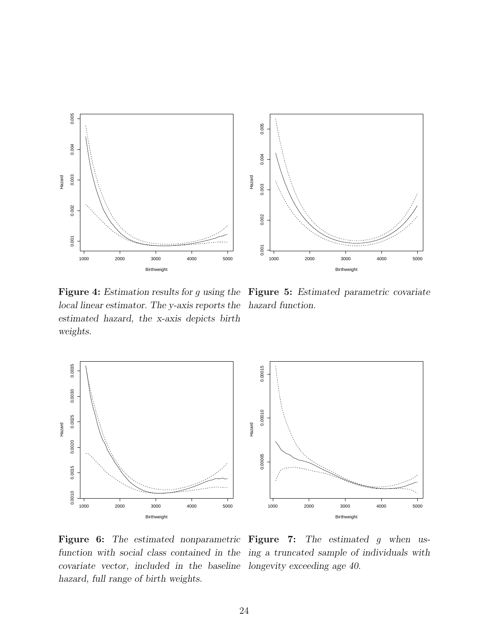

Figure 4: Estimation results for g using the Figure 5: Estimated parametric covariate local linear estimator. The y-axis reports the hazard function. estimated hazard, the x-axis depicts birth weights.



Figure 6: The estimated nonparametric Figure 7: The estimated g when usfunction with social class contained in the ing a truncated sample of individuals with covariate vector, included in the baseline longevity exceeding age 40. hazard, full range of birth weights.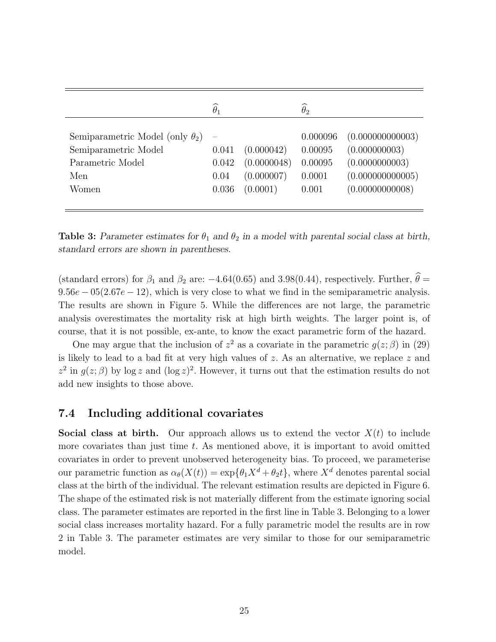|                                                                                                     | $\widehat{\theta}_1$            |                                                     | $\widehat{\theta}_2$                              |                                                                                           |
|-----------------------------------------------------------------------------------------------------|---------------------------------|-----------------------------------------------------|---------------------------------------------------|-------------------------------------------------------------------------------------------|
| Semiparametric Model (only $\theta_2$ )<br>Semiparametric Model<br>Parametric Model<br>Men<br>Women | 0.041<br>0.042<br>0.04<br>0.036 | (0.000042)<br>(0.0000048)<br>(0.000007)<br>(0.0001) | 0.000096<br>0.00095<br>0.00095<br>0.0001<br>0.001 | (0.00000000003)<br>(0.000000003)<br>(0.0000000003)<br>(0.000000000005)<br>(0.00000000008) |

Table 3: Parameter estimates for  $\theta_1$  and  $\theta_2$  in a model with parental social class at birth, standard errors are shown in parentheses.

(standard errors) for  $\beta_1$  and  $\beta_2$  are: -4.64(0.65) and 3.98(0.44), respectively. Further,  $\hat{\theta} =$  $9.56e - 05(2.67e - 12)$ , which is very close to what we find in the semiparametric analysis. The results are shown in Figure 5. While the differences are not large, the parametric analysis overestimates the mortality risk at high birth weights. The larger point is, of course, that it is not possible, ex-ante, to know the exact parametric form of the hazard.

One may argue that the inclusion of  $z^2$  as a covariate in the parametric  $g(z;\beta)$  in (29) is likely to lead to a bad fit at very high values of  $z$ . As an alternative, we replace  $z$  and  $z^2$  in  $g(z;\beta)$  by log z and  $(\log z)^2$ . However, it turns out that the estimation results do not add new insights to those above.

#### 7.4 Including additional covariates

**Social class at birth.** Our approach allows us to extend the vector  $X(t)$  to include more covariates than just time  $t$ . As mentioned above, it is important to avoid omitted covariates in order to prevent unobserved heterogeneity bias. To proceed, we parameterise our parametric function as  $\alpha_{\theta}(X(t)) = \exp{\{\theta_1 X^d + \theta_2 t\}}$ , where  $X^d$  denotes parental social class at the birth of the individual. The relevant estimation results are depicted in Figure 6. The shape of the estimated risk is not materially different from the estimate ignoring social class. The parameter estimates are reported in the first line in Table 3. Belonging to a lower social class increases mortality hazard. For a fully parametric model the results are in row 2 in Table 3. The parameter estimates are very similar to those for our semiparametric model.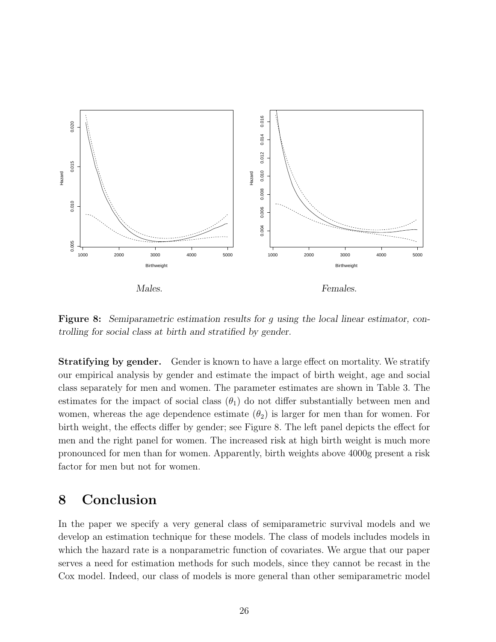

Figure 8: Semiparametric estimation results for g using the local linear estimator, controlling for social class at birth and stratified by gender.

**Stratifying by gender.** Gender is known to have a large effect on mortality. We stratify our empirical analysis by gender and estimate the impact of birth weight, age and social class separately for men and women. The parameter estimates are shown in Table 3. The estimates for the impact of social class  $(\theta_1)$  do not differ substantially between men and women, whereas the age dependence estimate  $(\theta_2)$  is larger for men than for women. For birth weight, the effects differ by gender; see Figure 8. The left panel depicts the effect for men and the right panel for women. The increased risk at high birth weight is much more pronounced for men than for women. Apparently, birth weights above 4000g present a risk factor for men but not for women.

### 8 Conclusion

In the paper we specify a very general class of semiparametric survival models and we develop an estimation technique for these models. The class of models includes models in which the hazard rate is a nonparametric function of covariates. We argue that our paper serves a need for estimation methods for such models, since they cannot be recast in the Cox model. Indeed, our class of models is more general than other semiparametric model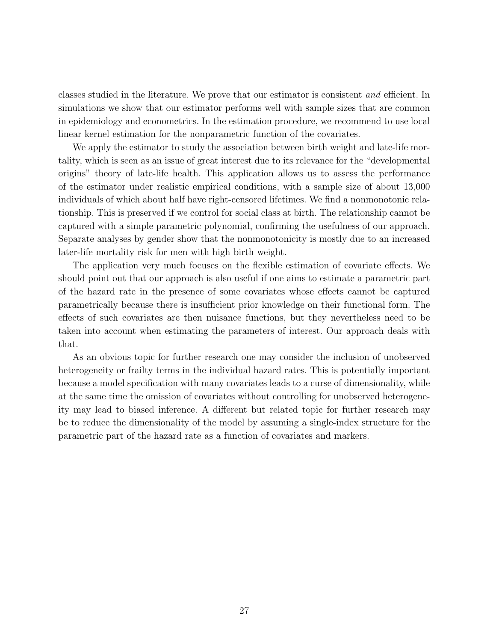classes studied in the literature. We prove that our estimator is consistent and efficient. In simulations we show that our estimator performs well with sample sizes that are common in epidemiology and econometrics. In the estimation procedure, we recommend to use local linear kernel estimation for the nonparametric function of the covariates.

We apply the estimator to study the association between birth weight and late-life mortality, which is seen as an issue of great interest due to its relevance for the "developmental origins" theory of late-life health. This application allows us to assess the performance of the estimator under realistic empirical conditions, with a sample size of about 13,000 individuals of which about half have right-censored lifetimes. We find a nonmonotonic relationship. This is preserved if we control for social class at birth. The relationship cannot be captured with a simple parametric polynomial, confirming the usefulness of our approach. Separate analyses by gender show that the nonmonotonicity is mostly due to an increased later-life mortality risk for men with high birth weight.

The application very much focuses on the flexible estimation of covariate effects. We should point out that our approach is also useful if one aims to estimate a parametric part of the hazard rate in the presence of some covariates whose effects cannot be captured parametrically because there is insufficient prior knowledge on their functional form. The effects of such covariates are then nuisance functions, but they nevertheless need to be taken into account when estimating the parameters of interest. Our approach deals with that.

As an obvious topic for further research one may consider the inclusion of unobserved heterogeneity or frailty terms in the individual hazard rates. This is potentially important because a model specification with many covariates leads to a curse of dimensionality, while at the same time the omission of covariates without controlling for unobserved heterogeneity may lead to biased inference. A different but related topic for further research may be to reduce the dimensionality of the model by assuming a single-index structure for the parametric part of the hazard rate as a function of covariates and markers.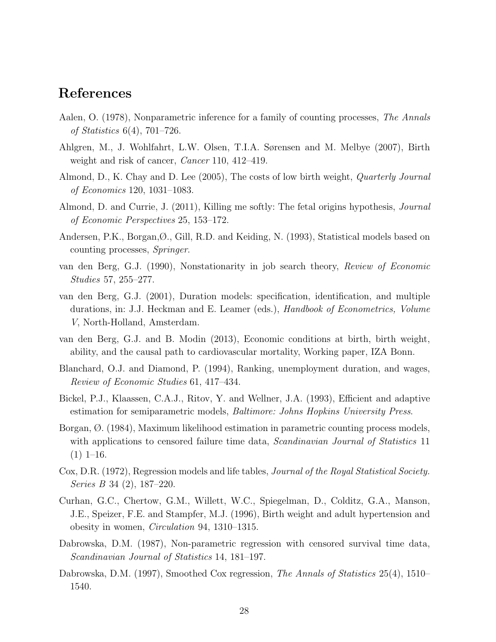### References

- Aalen, O. (1978), Nonparametric inference for a family of counting processes, *The Annals* of Statistics 6(4), 701–726.
- Ahlgren, M., J. Wohlfahrt, L.W. Olsen, T.I.A. Sørensen and M. Melbye (2007), Birth weight and risk of cancer, *Cancer* 110, 412–419.
- Almond, D., K. Chay and D. Lee (2005), The costs of low birth weight, Quarterly Journal of Economics 120, 1031–1083.
- Almond, D. and Currie, J. (2011), Killing me softly: The fetal origins hypothesis, *Journal* of Economic Perspectives 25, 153–172.
- Andersen, P.K., Borgan,Ø., Gill, R.D. and Keiding, N. (1993), Statistical models based on counting processes, Springer.
- van den Berg, G.J. (1990), Nonstationarity in job search theory, Review of Economic Studies 57, 255–277.
- van den Berg, G.J. (2001), Duration models: specification, identification, and multiple durations, in: J.J. Heckman and E. Leamer (eds.), Handbook of Econometrics, Volume V, North-Holland, Amsterdam.
- van den Berg, G.J. and B. Modin (2013), Economic conditions at birth, birth weight, ability, and the causal path to cardiovascular mortality, Working paper, IZA Bonn.
- Blanchard, O.J. and Diamond, P. (1994), Ranking, unemployment duration, and wages, Review of Economic Studies 61, 417–434.
- Bickel, P.J., Klaassen, C.A.J., Ritov, Y. and Wellner, J.A. (1993), Efficient and adaptive estimation for semiparametric models, Baltimore: Johns Hopkins University Press.
- Borgan, Ø. (1984), Maximum likelihood estimation in parametric counting process models, with applications to censored failure time data, *Scandinavian Journal of Statistics* 11  $(1)$  1–16.
- Cox, D.R. (1972), Regression models and life tables, *Journal of the Royal Statistical Society*. Series B 34 (2), 187–220.
- Curhan, G.C., Chertow, G.M., Willett, W.C., Spiegelman, D., Colditz, G.A., Manson, J.E., Speizer, F.E. and Stampfer, M.J. (1996), Birth weight and adult hypertension and obesity in women, Circulation 94, 1310–1315.
- Dabrowska, D.M. (1987), Non-parametric regression with censored survival time data, Scandinavian Journal of Statistics 14, 181–197.
- Dabrowska, D.M. (1997), Smoothed Cox regression, *The Annals of Statistics* 25(4), 1510– 1540.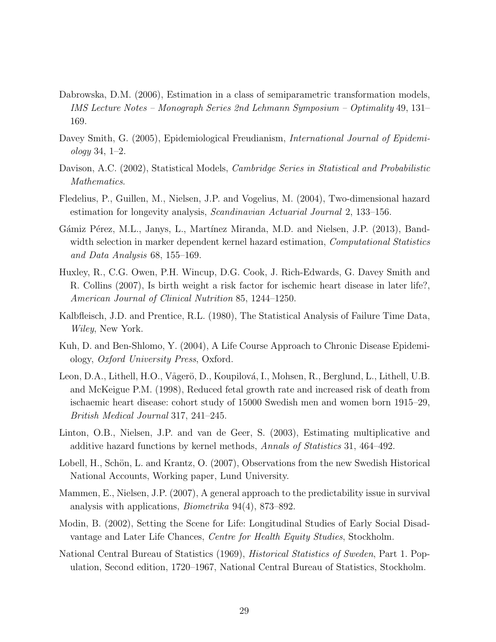- Dabrowska, D.M. (2006), Estimation in a class of semiparametric transformation models, IMS Lecture Notes – Monograph Series 2nd Lehmann Symposium – Optimality 49, 131– 169.
- Davey Smith, G. (2005), Epidemiological Freudianism, *International Journal of Epidemi*ology 34, 1–2.
- Davison, A.C. (2002), Statistical Models, *Cambridge Series in Statistical and Probabilistic* Mathematics.
- Fledelius, P., Guillen, M., Nielsen, J.P. and Vogelius, M. (2004), Two-dimensional hazard estimation for longevity analysis, Scandinavian Actuarial Journal 2, 133–156.
- Gámiz Pérez, M.L., Janys, L., Martínez Miranda, M.D. and Nielsen, J.P. (2013), Bandwidth selection in marker dependent kernel hazard estimation, *Computational Statistics* and Data Analysis 68, 155–169.
- Huxley, R., C.G. Owen, P.H. Wincup, D.G. Cook, J. Rich-Edwards, G. Davey Smith and R. Collins (2007), Is birth weight a risk factor for ischemic heart disease in later life?, American Journal of Clinical Nutrition 85, 1244–1250.
- Kalbfleisch, J.D. and Prentice, R.L. (1980), The Statistical Analysis of Failure Time Data, Wiley, New York.
- Kuh, D. and Ben-Shlomo, Y. (2004), A Life Course Approach to Chronic Disease Epidemiology, Oxford University Press, Oxford.
- Leon, D.A., Lithell, H.O., Vågerö, D., Koupilová, I., Mohsen, R., Berglund, L., Lithell, U.B. and McKeigue P.M. (1998), Reduced fetal growth rate and increased risk of death from ischaemic heart disease: cohort study of 15000 Swedish men and women born 1915–29, British Medical Journal 317, 241–245.
- Linton, O.B., Nielsen, J.P. and van de Geer, S. (2003), Estimating multiplicative and additive hazard functions by kernel methods, Annals of Statistics 31, 464–492.
- Lobell, H., Schön, L. and Krantz, O. (2007), Observations from the new Swedish Historical National Accounts, Working paper, Lund University.
- Mammen, E., Nielsen, J.P. (2007), A general approach to the predictability issue in survival analysis with applications, Biometrika 94(4), 873–892.
- Modin, B. (2002), Setting the Scene for Life: Longitudinal Studies of Early Social Disadvantage and Later Life Chances, Centre for Health Equity Studies, Stockholm.
- National Central Bureau of Statistics (1969), Historical Statistics of Sweden, Part 1. Population, Second edition, 1720–1967, National Central Bureau of Statistics, Stockholm.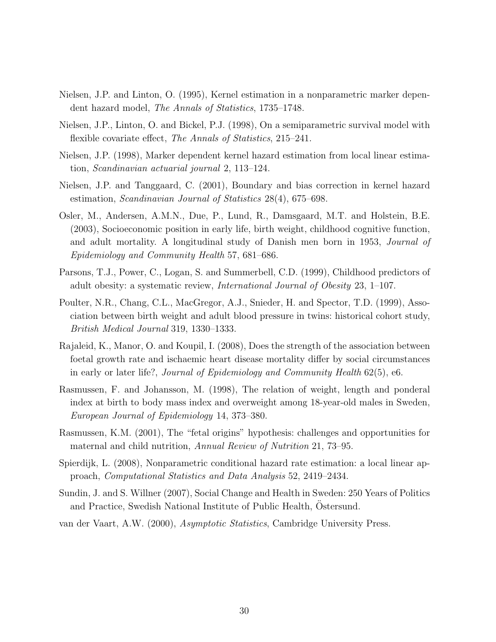- Nielsen, J.P. and Linton, O. (1995), Kernel estimation in a nonparametric marker dependent hazard model, The Annals of Statistics, 1735–1748.
- Nielsen, J.P., Linton, O. and Bickel, P.J. (1998), On a semiparametric survival model with flexible covariate effect, The Annals of Statistics, 215–241.
- Nielsen, J.P. (1998), Marker dependent kernel hazard estimation from local linear estimation, Scandinavian actuarial journal 2, 113–124.
- Nielsen, J.P. and Tanggaard, C. (2001), Boundary and bias correction in kernel hazard estimation, Scandinavian Journal of Statistics 28(4), 675–698.
- Osler, M., Andersen, A.M.N., Due, P., Lund, R., Damsgaard, M.T. and Holstein, B.E. (2003), Socioeconomic position in early life, birth weight, childhood cognitive function, and adult mortality. A longitudinal study of Danish men born in 1953, Journal of Epidemiology and Community Health 57, 681–686.
- Parsons, T.J., Power, C., Logan, S. and Summerbell, C.D. (1999), Childhood predictors of adult obesity: a systematic review, International Journal of Obesity 23, 1–107.
- Poulter, N.R., Chang, C.L., MacGregor, A.J., Snieder, H. and Spector, T.D. (1999), Association between birth weight and adult blood pressure in twins: historical cohort study, British Medical Journal 319, 1330–1333.
- Rajaleid, K., Manor, O. and Koupil, I. (2008), Does the strength of the association between foetal growth rate and ischaemic heart disease mortality differ by social circumstances in early or later life?, Journal of Epidemiology and Community Health 62(5), e6.
- Rasmussen, F. and Johansson, M. (1998), The relation of weight, length and ponderal index at birth to body mass index and overweight among 18-year-old males in Sweden, European Journal of Epidemiology 14, 373–380.
- Rasmussen, K.M. (2001), The "fetal origins" hypothesis: challenges and opportunities for maternal and child nutrition, Annual Review of Nutrition 21, 73–95.
- Spierdijk, L. (2008), Nonparametric conditional hazard rate estimation: a local linear approach, Computational Statistics and Data Analysis 52, 2419–2434.
- Sundin, J. and S. Willner (2007), Social Change and Health in Sweden: 250 Years of Politics and Practice, Swedish National Institute of Public Health, Ostersund.
- van der Vaart, A.W. (2000), Asymptotic Statistics, Cambridge University Press.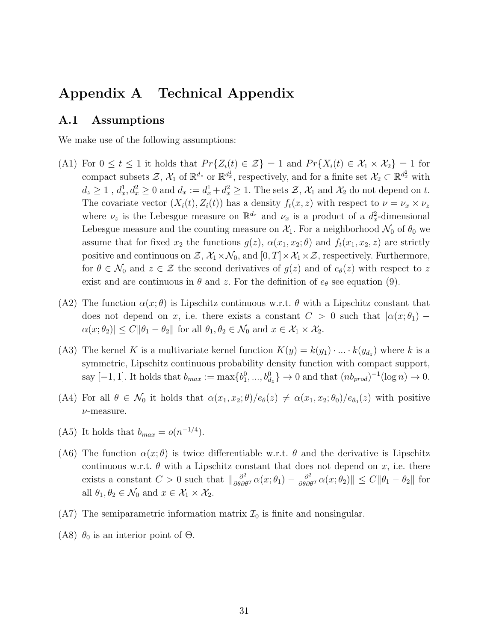### Appendix A Technical Appendix

#### A.1 Assumptions

We make use of the following assumptions:

- (A1) For  $0 \le t \le 1$  it holds that  $Pr{Z_i(t) \in \mathcal{Z}} = 1$  and  $Pr{X_i(t) \in \mathcal{X}_1 \times \mathcal{X}_2} = 1$  for compact subsets  $\mathcal{Z}, \mathcal{X}_1$  of  $\mathbb{R}^{d_z}$  or  $\mathbb{R}^{d_x}$ , respectively, and for a finite set  $\mathcal{X}_2 \subset \mathbb{R}^{d_x^2}$  with  $d_z \geq 1$ ,  $d_x^1, d_x^2 \geq 0$  and  $d_x := d_x^1 + d_x^2 \geq 1$ . The sets  $\mathcal{Z}, \mathcal{X}_1$  and  $\mathcal{X}_2$  do not depend on t. The covariate vector  $(X_i(t), Z_i(t))$  has a density  $f_t(x, z)$  with respect to  $\nu = \nu_x \times \nu_z$ where  $\nu_z$  is the Lebesgue measure on  $\mathbb{R}^{d_z}$  and  $\nu_x$  is a product of a  $d_x^2$ -dimensional Lebesgue measure and the counting measure on  $\mathcal{X}_1$ . For a neighborhood  $\mathcal{N}_0$  of  $\theta_0$  we assume that for fixed  $x_2$  the functions  $g(z)$ ,  $\alpha(x_1, x_2; \theta)$  and  $f_t(x_1, x_2, z)$  are strictly positive and continuous on  $\mathcal{Z}, \mathcal{X}_1 \times \mathcal{N}_0$ , and  $[0, T] \times \mathcal{X}_1 \times \mathcal{Z}$ , respectively. Furthermore, for  $\theta \in \mathcal{N}_0$  and  $z \in \mathcal{Z}$  the second derivatives of  $g(z)$  and of  $e_{\theta}(z)$  with respect to z exist and are continuous in  $\theta$  and z. For the definition of  $e_{\theta}$  see equation (9).
- (A2) The function  $\alpha(x;\theta)$  is Lipschitz continuous w.r.t.  $\theta$  with a Lipschitz constant that does not depend on x, i.e. there exists a constant  $C > 0$  such that  $\alpha(x; \theta_1)$  –  $\alpha(x; \theta_2) \le C ||\theta_1 - \theta_2||$  for all  $\theta_1, \theta_2 \in \mathcal{N}_0$  and  $x \in \mathcal{X}_1 \times \mathcal{X}_2$ .
- (A3) The kernel K is a multivariate kernel function  $K(y) = k(y_1) \cdot ... \cdot k(y_{d_z})$  where k is a symmetric, Lipschitz continuous probability density function with compact support, say  $[-1, 1]$ . It holds that  $b_{max} := \max\{b_1^0, ..., b_{d_z}^0\} \to 0$  and that  $(nb_{prod})^{-1}(\log n) \to 0$ .
- (A4) For all  $\theta \in \mathcal{N}_0$  it holds that  $\alpha(x_1, x_2; \theta)/e_{\theta}(z) \neq \alpha(x_1, x_2; \theta_0)/e_{\theta_0}(z)$  with positive ν-measure.
- (A5) It holds that  $b_{max} = o(n^{-1/4})$ .
- (A6) The function  $\alpha(x;\theta)$  is twice differentiable w.r.t.  $\theta$  and the derivative is Lipschitz continuous w.r.t.  $\theta$  with a Lipschitz constant that does not depend on x, i.e. there exists a constant  $C > 0$  such that  $\left\|\frac{\partial^2}{\partial \theta \partial \theta^T} \alpha(x; \theta_1) - \frac{\partial^2}{\partial \theta \partial \theta^T} \alpha(x; \theta_2)\right\| \leq C \|\theta_1 - \theta_2\|$  for all  $\theta_1, \theta_2 \in \mathcal{N}_0$  and  $x \in \mathcal{X}_1 \times \mathcal{X}_2$ .
- (A7) The semiparametric information matrix  $\mathcal{I}_0$  is finite and nonsingular.
- (A8)  $\theta_0$  is an interior point of  $\Theta$ .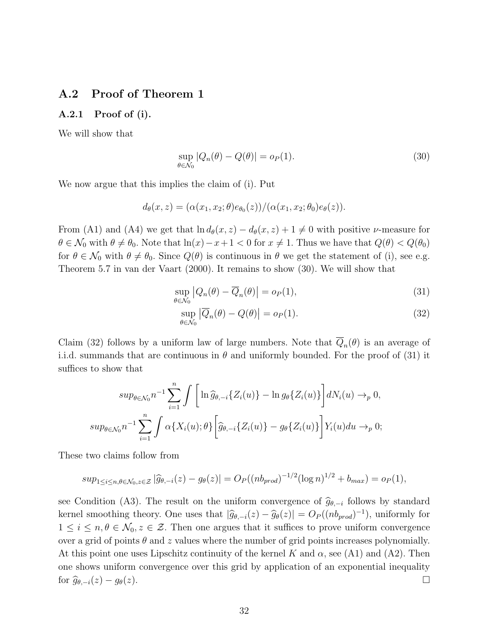#### A.2 Proof of Theorem 1

#### A.2.1 Proof of (i).

We will show that

$$
\sup_{\theta \in \mathcal{N}_0} |Q_n(\theta) - Q(\theta)| = o_P(1). \tag{30}
$$

We now argue that this implies the claim of (i). Put

$$
d_{\theta}(x, z) = (\alpha(x_1, x_2; \theta) e_{\theta_0}(z)) / (\alpha(x_1, x_2; \theta_0) e_{\theta}(z)).
$$

From (A1) and (A4) we get that  $\ln d_{\theta}(x, z) - d_{\theta}(x, z) + 1 \neq 0$  with positive *v*-measure for  $\theta \in \mathcal{N}_0$  with  $\theta \neq \theta_0$ . Note that  $\ln(x)-x+1 < 0$  for  $x \neq 1$ . Thus we have that  $Q(\theta) < Q(\theta_0)$ for  $\theta \in \mathcal{N}_0$  with  $\theta \neq \theta_0$ . Since  $Q(\theta)$  is continuous in  $\theta$  we get the statement of (i), see e.g. Theorem 5.7 in van der Vaart (2000). It remains to show (30). We will show that

$$
\sup_{\theta \in \mathcal{N}_0} |Q_n(\theta) - \overline{Q}_n(\theta)| = o_P(1),\tag{31}
$$

$$
\sup_{\theta \in \mathcal{N}_0} |\overline{Q}_n(\theta) - Q(\theta)| = o_P(1).
$$
\n(32)

Claim (32) follows by a uniform law of large numbers. Note that  $Q_n(\theta)$  is an average of i.i.d. summands that are continuous in  $\theta$  and uniformly bounded. For the proof of (31) it suffices to show that

$$
sup_{\theta \in \mathcal{N}_0} n^{-1} \sum_{i=1}^n \int \left[ \ln \widehat{g}_{\theta,-i} \{ Z_i(u) \} - \ln g_{\theta} \{ Z_i(u) \} \right] dN_i(u) \to_p 0,
$$
  

$$
sup_{\theta \in \mathcal{N}_0} n^{-1} \sum_{i=1}^n \int \alpha \{ X_i(u); \theta \} \left[ \widehat{g}_{\theta,-i} \{ Z_i(u) \} - g_{\theta} \{ Z_i(u) \} \right] Y_i(u) du \to_p 0;
$$

These two claims follow from

$$
sup_{1 \leq i \leq n, \theta \in \mathcal{N}_0, z \in \mathcal{Z}} |\widehat{g}_{\theta,-i}(z) - g_{\theta}(z)| = O_P((nb_{prod})^{-1/2} (\log n)^{1/2} + b_{max}) = o_P(1),
$$

see Condition (A3). The result on the uniform convergence of  $\hat{g}_{\theta,-i}$  follows by standard kernel smoothing theory. One uses that  $|\widehat{g}_{\theta,-i}(z) - \widehat{g}_{\theta}(z)| = O_P((nb_{prod})^{-1})$ , uniformly for  $1 \leq i \leq n, \theta \in \mathcal{N}_0, z \in \mathcal{Z}$ . Then one argues that it suffices to prove uniform convergence over a grid of points  $\theta$  and z values where the number of grid points increases polynomially. At this point one uses Lipschitz continuity of the kernel K and  $\alpha$ , see (A1) and (A2). Then one shows uniform convergence over this grid by application of an exponential inequality for  $\widehat{g}_{\theta,-i}(z) - g_{\theta}(z)$ .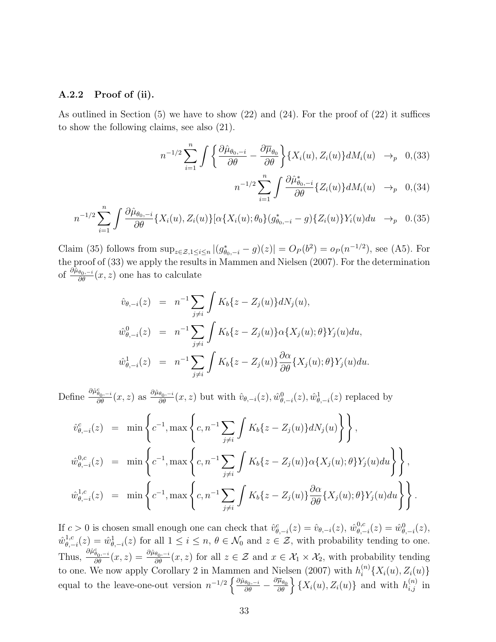#### A.2.2 Proof of (ii).

As outlined in Section (5) we have to show (22) and (24). For the proof of (22) it suffices to show the following claims, see also (21).

$$
n^{-1/2} \sum_{i=1}^{n} \int \left\{ \frac{\partial \hat{\mu}_{\theta_0, -i}}{\partial \theta} - \frac{\partial \overline{\mu}_{\theta_0}}{\partial \theta} \right\} \{ X_i(u), Z_i(u) \} dM_i(u) \rightarrow_p 0, (33)
$$

$$
n^{-1/2} \sum_{i=1}^{n} \int \frac{\partial \hat{\mu}_{\theta_0,-i}^*}{\partial \theta} \{Z_i(u)\} dM_i(u) \rightarrow_p 0, (34)
$$

$$
n^{-1/2} \sum_{i=1}^{n} \int \frac{\partial \hat{\mu}_{\theta_{0},-i}}{\partial \theta} \{X_{i}(u), Z_{i}(u)\} [\alpha \{X_{i}(u); \theta_{0}\} (g_{\theta_{0},-i}^{*} - g) \{Z_{i}(u)\} Y_{i}(u) du \rightarrow_{p} 0. (35)
$$

Claim (35) follows from  $\sup_{z \in \mathcal{Z}, 1 \leq i \leq n} |(g_{\theta_0, -i}^* - g)(z)| = O_P(b^2) = o_P(n^{-1/2})$ , see (A5). For the proof of (33) we apply the results in Mammen and Nielsen (2007). For the determination of  $\frac{\partial \hat{\mu}_{\theta_0,-i}}{\partial \theta}(x,z)$  one has to calculate

$$
\hat{v}_{\theta,-i}(z) = n^{-1} \sum_{j \neq i} \int K_b \{z - Z_j(u)\} dN_j(u),
$$
  

$$
\hat{w}_{\theta,-i}^0(z) = n^{-1} \sum_{j \neq i} \int K_b \{z - Z_j(u)\} \alpha \{X_j(u); \theta\} Y_j(u) du,
$$
  

$$
\hat{w}_{\theta,-i}^1(z) = n^{-1} \sum_{j \neq i} \int K_b \{z - Z_j(u)\} \frac{\partial \alpha}{\partial \theta} \{X_j(u); \theta\} Y_j(u) du.
$$

Define  $\frac{\partial \hat{\mu}_{\theta_0,-i}}{\partial \theta}(x,z)$  as  $\frac{\partial \hat{\mu}_{\theta_0,-i}}{\partial \theta}(x,z)$  but with  $\hat{v}_{\theta,-i}(z), \hat{w}_{\theta,-i}^0(z), \hat{w}_{\theta,-i}^1(z)$  replaced by

$$
\hat{v}_{\theta,-i}^{c}(z) = \min \left\{ c^{-1}, \max \left\{ c, n^{-1} \sum_{j \neq i} \int K_b \{z - Z_j(u)\} dN_j(u) \right\} \right\},
$$
  

$$
\hat{w}_{\theta,-i}^{0,c}(z) = \min \left\{ c^{-1}, \max \left\{ c, n^{-1} \sum_{j \neq i} \int K_b \{z - Z_j(u)\} \alpha \{X_j(u); \theta\} Y_j(u) du \right\} \right\},
$$
  

$$
\hat{w}_{\theta,-i}^{1,c}(z) = \min \left\{ c^{-1}, \max \left\{ c, n^{-1} \sum_{j \neq i} \int K_b \{z - Z_j(u)\} \frac{\partial \alpha}{\partial \theta} \{X_j(u); \theta\} Y_j(u) du \right\} \right\}.
$$

If  $c > 0$  is chosen small enough one can check that  $\hat{v}_{\theta,-i}^c(z) = \hat{v}_{\theta,-i}(z)$ ,  $\hat{w}_{\theta,-i}^{0,c}$  $\hat{\psi}_{\theta,-i}^{0,c}(z) = \hat{w}_{\theta,-i}^{0}(z),$  $\hat{w}^{1,c}_{\theta}$  $\psi_{\theta,-i}^{1,c}(z) = \hat{w}_{\theta,-i}^{1}(z)$  for all  $1 \leq i \leq n, \theta \in \mathcal{N}_0$  and  $z \in \mathcal{Z}$ , with probability tending to one. Thus,  $\frac{\partial \hat{\mu}_{\theta_0,-i}}{\partial \theta}(x,z) = \frac{\partial \hat{\mu}_{\theta_0,-i}}{\partial \theta}(x,z)$  for all  $z \in \mathcal{Z}$  and  $x \in \mathcal{X}_1 \times \mathcal{X}_2$ , with probability tending to one. We now apply Corollary 2 in Mammen and Nielsen (2007) with  $h_i^{(n)}$  $\binom{n}{i} \{X_i(u), Z_i(u)\}$ equal to the leave-one-out version  $n^{-1/2} \left\{ \frac{\partial \hat{\mu}_{\theta_0,-i}}{\partial \theta} - \frac{\partial \overline{\mu}_{\theta_0}}{\partial \theta} \right\} \left\{ X_i(u), Z_i(u) \right\}$  and with  $h_{i,j}^{(n)}$  in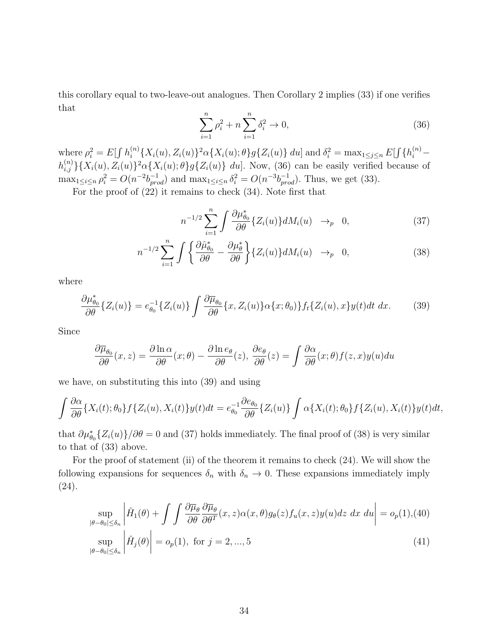this corollary equal to two-leave-out analogues. Then Corollary 2 implies (33) if one verifies that

$$
\sum_{i=1}^{n} \rho_i^2 + n \sum_{i=1}^{n} \delta_i^2 \to 0,
$$
\n(36)

where  $\rho_i^2 = E[\int h_i^{(n)}]$  $\{X_i(u), Z_i(u)\}^2 \alpha \{X_i(u); \theta\} g\{Z_i(u)\} du$  and  $\delta_i^2 = \max_{1 \le j \le n} E[\int \{h_i^{(n)} - h_i^{(n)}\} g\{Z_i(u)\} du]$  $h_{i,j}^{(n)}\}\{X_i(u), Z_i(u)\}^2\alpha\{X_i(u); \theta\}g\{Z_i(u)\}\ du]$ . Now, (36) can be easily verified because of  $\max_{1 \leq i \leq n} \rho_i^2 = O(n^{-2}b_{prod}^{-1})$  and  $\max_{1 \leq i \leq n} \delta_i^2 = O(n^{-3}b_{prod}^{-1})$ . Thus, we get (33).

For the proof of (22) it remains to check (34). Note first that

$$
n^{-1/2} \sum_{i=1}^{n} \int \frac{\partial \mu_{\theta_0}^*}{\partial \theta} \{Z_i(u)\} dM_i(u) \rightarrow_p 0, \qquad (37)
$$

$$
n^{-1/2} \sum_{i=1}^{n} \int \left\{ \frac{\partial \hat{\mu}_{\theta_{0}}^{*}}{\partial \theta} - \frac{\partial \mu_{\theta}^{*}}{\partial \theta} \right\} \{ Z_{i}(u) \} dM_{i}(u) \rightarrow_{p} 0, \qquad (38)
$$

where

$$
\frac{\partial \mu_{\theta_0}^*}{\partial \theta} \{Z_i(u)\} = e_{\theta_0}^{-1} \{Z_i(u)\} \int \frac{\partial \overline{\mu}_{\theta_0}}{\partial \theta} \{x, Z_i(u)\} \alpha \{x; \theta_0\} f_t \{Z_i(u), x\} y(t) dt dx. \tag{39}
$$

Since

$$
\frac{\partial \overline{\mu}_{\theta_0}}{\partial \theta}(x, z) = \frac{\partial \ln \alpha}{\partial \theta}(x; \theta) - \frac{\partial \ln e_{\theta}}{\partial \theta}(z), \frac{\partial e_{\theta}}{\partial \theta}(z) = \int \frac{\partial \alpha}{\partial \theta}(x; \theta) f(z, x) y(u) du
$$

we have, on substituting this into (39) and using

$$
\int \frac{\partial \alpha}{\partial \theta} \{X_i(t); \theta_0\} f\{Z_i(u), X_i(t)\} y(t) dt = e_{\theta_0}^{-1} \frac{\partial e_{\theta_0}}{\partial \theta} \{Z_i(u)\} \int \alpha \{X_i(t); \theta_0\} f\{Z_i(u), X_i(t)\} y(t) dt,
$$

that  $\partial \mu_{\theta_0}^*[Z_i(u)]/\partial \theta = 0$  and (37) holds immediately. The final proof of (38) is very similar to that of (33) above.

For the proof of statement (ii) of the theorem it remains to check (24). We will show the following expansions for sequences  $\delta_n$  with  $\delta_n \to 0$ . These expansions immediately imply (24).

$$
\sup_{|\theta-\theta_0|\leq\delta_n} \left| \hat{H}_1(\theta) + \int \int \frac{\partial \overline{\mu}_{\theta}}{\partial \theta} \frac{\partial \overline{\mu}_{\theta}}{\partial \theta^T}(x, z) \alpha(x, \theta) g_{\theta}(z) f_u(x, z) y(u) dz dx du \right| = o_p(1), (40)
$$
  
\n
$$
\sup_{|\theta-\theta_0|\leq\delta_n} \left| \hat{H}_j(\theta) \right| = o_p(1), \text{ for } j = 2, ..., 5
$$
 (41)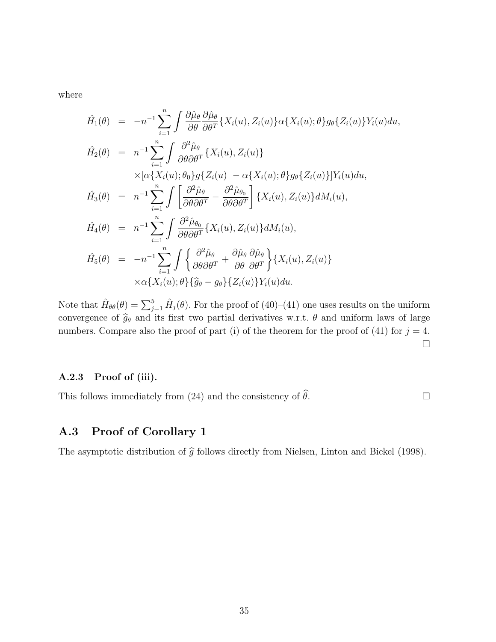where

$$
\hat{H}_{1}(\theta) = -n^{-1} \sum_{i=1}^{n} \int \frac{\partial \hat{\mu}_{\theta}}{\partial \theta} \frac{\partial \hat{\mu}_{\theta}}{\partial \theta^{T}} \{X_{i}(u), Z_{i}(u)\} \alpha \{X_{i}(u); \theta\} g_{\theta} \{Z_{i}(u)\} Y_{i}(u) du,
$$
\n
$$
\hat{H}_{2}(\theta) = n^{-1} \sum_{i=1}^{n} \int \frac{\partial^{2} \hat{\mu}_{\theta}}{\partial \theta \partial \theta^{T}} \{X_{i}(u), Z_{i}(u)\} \times [\alpha \{X_{i}(u); \theta_{0}\} g \{Z_{i}(u) - \alpha \{X_{i}(u); \theta\} g_{\theta} \{Z_{i}(u)\}] Y_{i}(u) du,
$$
\n
$$
\hat{H}_{3}(\theta) = n^{-1} \sum_{i=1}^{n} \int \left[ \frac{\partial^{2} \hat{\mu}_{\theta}}{\partial \theta \partial \theta^{T}} - \frac{\partial^{2} \hat{\mu}_{\theta_{0}}}{\partial \theta \partial \theta^{T}} \right] \{X_{i}(u), Z_{i}(u)\} dM_{i}(u),
$$
\n
$$
\hat{H}_{4}(\theta) = n^{-1} \sum_{i=1}^{n} \int \frac{\partial^{2} \hat{\mu}_{\theta_{0}}}{\partial \theta \partial \theta^{T}} \{X_{i}(u), Z_{i}(u)\} dM_{i}(u),
$$
\n
$$
\hat{H}_{5}(\theta) = -n^{-1} \sum_{i=1}^{n} \int \left\{ \frac{\partial^{2} \hat{\mu}_{\theta}}{\partial \theta \partial \theta^{T}} + \frac{\partial \hat{\mu}_{\theta}}{\partial \theta} \frac{\partial \hat{\mu}_{\theta}}{\partial \theta^{T}} \right\} \{X_{i}(u), Z_{i}(u)\} \times \alpha \{X_{i}(u); \theta\} \{\hat{g}_{\theta} - g_{\theta}\} \{Z_{i}(u)\} Y_{i}(u) du.
$$

Note that  $\hat{H}_{\theta\theta}(\theta) = \sum_{j=1}^{5} \hat{H}_{j}(\theta)$ . For the proof of (40)–(41) one uses results on the uniform convergence of  $\hat{g}_{\theta}$  and its first two partial derivatives w.r.t.  $\theta$  and uniform laws of large numbers. Compare also the proof of part (i) of the theorem for the proof of (41) for  $j = 4$ .  $\Box$ 

#### A.2.3 Proof of (iii).

This follows immediately from (24) and the consistency of  $\widehat{\theta}$ .

#### A.3 Proof of Corollary 1

The asymptotic distribution of  $\hat{g}$  follows directly from Nielsen, Linton and Bickel (1998).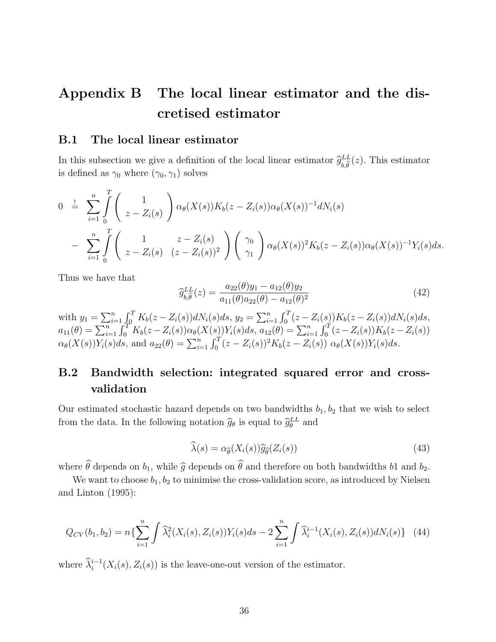# Appendix B The local linear estimator and the discretised estimator

#### B.1 The local linear estimator

In this subsection we give a definition of the local linear estimator  $\hat{g}^{LL}_{b,\hat{\theta}}$  $_{b,\theta}$  $(z)$ . This estimator is defined as  $\gamma_0$  where  $(\gamma_0, \gamma_1)$  solves

$$
0 = \sum_{i=1}^{n} \int_{0}^{T} \begin{pmatrix} 1 \\ z - Z_i(s) \end{pmatrix} \alpha_{\theta}(X(s)) K_b(z - Z_i(s)) \alpha_{\theta}(X(s))^{-1} dN_i(s)
$$
  
- 
$$
\sum_{i=1}^{n} \int_{0}^{T} \begin{pmatrix} 1 & z - Z_i(s) \\ z - Z_i(s) & (z - Z_i(s))^2 \end{pmatrix} \begin{pmatrix} \gamma_0 \\ \gamma_1 \end{pmatrix} \alpha_{\theta}(X(s))^2 K_b(z - Z_i(s)) \alpha_{\theta}(X(s))^{-1} Y_i(s) ds.
$$

Thus we have that

$$
\widehat{g}_{b,\widehat{\theta}}^{LL}(z) = \frac{a_{22}(\theta)y_1 - a_{12}(\theta)y_2}{a_{11}(\theta)a_{22}(\theta) - a_{12}(\theta)^2}
$$
(42)

with  $y_1 = \sum_{i=1}^n \int_0^T K_b(z - Z_i(s)) dN_i(s) ds$ ,  $y_2 = \sum_{i=1}^n \int_0^T (z - Z_i(s)) K_b(z - Z_i(s)) dN_i(s) ds$ ,  $a_{11}(\theta) = \sum_{i=1}^{n} \int_{0}^{T'} K_b(z - Z_i(s)) \alpha_{\theta}(X(s)) Y_i(s) ds, a_{12}(\theta) = \sum_{i=1}^{n} \int_{0}^{T} (z - Z_i(s)) K_b(z - Z_i(s))$  $\alpha_{\theta}(X(s))Y_i(s)ds$ , and  $a_{22}(\theta) = \sum_{i=1}^n \int_0^T (z - Z_i(s))^2 K_b(z - Z_i(s)) \alpha_{\theta}(X(s))Y_i(s)ds$ .

### B.2 Bandwidth selection: integrated squared error and crossvalidation

Our estimated stochastic hazard depends on two bandwidths  $b_1, b_2$  that we wish to select from the data. In the following notation  $\hat{g}_{\theta}$  is equal to  $\hat{g}_{\theta}^{LL}$  and

$$
\widehat{\lambda}(s) = \alpha_{\widehat{\theta}}(X_i(s))\widehat{g}_{\widehat{\theta}}(Z_i(s))
$$
\n(43)

where  $\theta$  depends on  $b_1$ , while  $\hat{g}$  depends on  $\theta$  and therefore on both bandwidths  $b_1$  and  $b_2$ .

We want to choose  $b_1, b_2$  to minimise the cross-validation score, as introduced by Nielsen and Linton (1995):

$$
Q_{CV}(b_1, b_2) = n\left\{\sum_{i=1}^n \int \widehat{\lambda}_i^2(X_i(s), Z_i(s))Y_i(s)ds - 2\sum_{i=1}^n \int \widehat{\lambda}_i^{i-1}(X_i(s), Z_i(s))dN_i(s)\right\}
$$
(44)

where  $\hat{\lambda}_i^{i-1}(X_i(s), Z_i(s))$  is the leave-one-out version of the estimator.